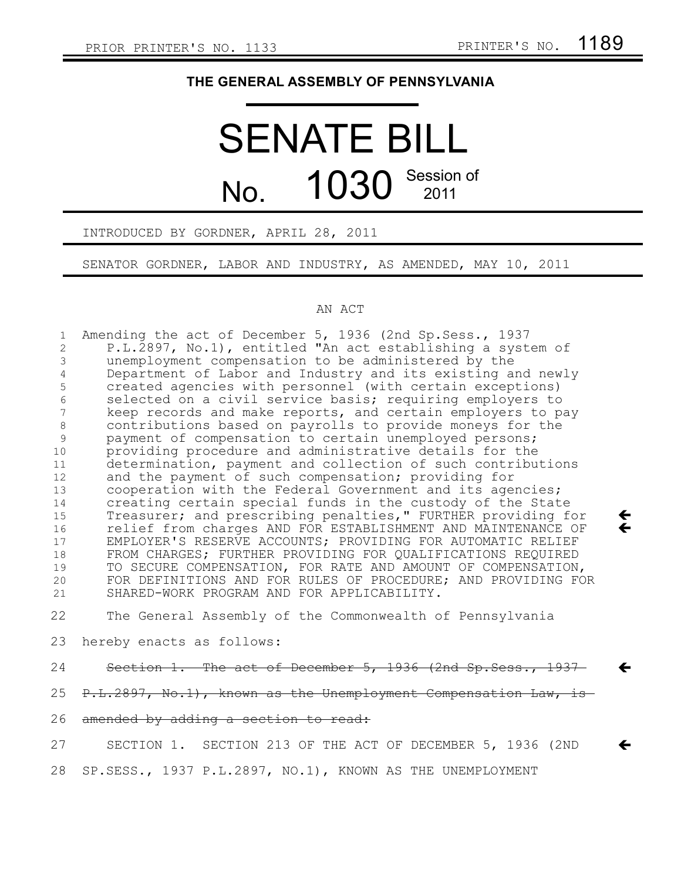$\leftarrow$  $\leftarrow$ 

 $\leftarrow$ 

 $\leftarrow$ 

# **THE GENERAL ASSEMBLY OF PENNSYLVANIA**

# SENATE BILL No.  $1030$  Session of 2011

## INTRODUCED BY GORDNER, APRIL 28, 2011

SENATOR GORDNER, LABOR AND INDUSTRY, AS AMENDED, MAY 10, 2011

## AN ACT

Amending the act of December 5, 1936 (2nd Sp.Sess., 1937 P.L.2897, No.1), entitled "An act establishing a system of unemployment compensation to be administered by the Department of Labor and Industry and its existing and newly created agencies with personnel (with certain exceptions) selected on a civil service basis; requiring employers to keep records and make reports, and certain employers to pay contributions based on payrolls to provide moneys for the payment of compensation to certain unemployed persons; providing procedure and administrative details for the determination, payment and collection of such contributions and the payment of such compensation; providing for cooperation with the Federal Government and its agencies; creating certain special funds in the custody of the State Treasurer; and prescribing penalties," FURTHER providing for relief from charges AND FOR ESTABLISHMENT AND MAINTENANCE OF EMPLOYER'S RESERVE ACCOUNTS; PROVIDING FOR AUTOMATIC RELIEF FROM CHARGES; FURTHER PROVIDING FOR QUALIFICATIONS REQUIRED TO SECURE COMPENSATION, FOR RATE AND AMOUNT OF COMPENSATION, FOR DEFINITIONS AND FOR RULES OF PROCEDURE; AND PROVIDING FOR SHARED-WORK PROGRAM AND FOR APPLICABILITY. The General Assembly of the Commonwealth of Pennsylvania hereby enacts as follows: Section 1. The act of December 5, 1936 (2nd Sp. Sess., 1937 1 2 3 4 5 6 7 8 9 10 11 12 13 14 15 16 17 18 19 20 21 22 23 24

P.L.2897, No.1), known as the Unemployment Compensation Law, is 25

### amended by adding a section to read: 26

SECTION 1. SECTION 213 OF THE ACT OF DECEMBER 5, 1936 (2ND SP.SESS., 1937 P.L.2897, NO.1), KNOWN AS THE UNEMPLOYMENT 27 28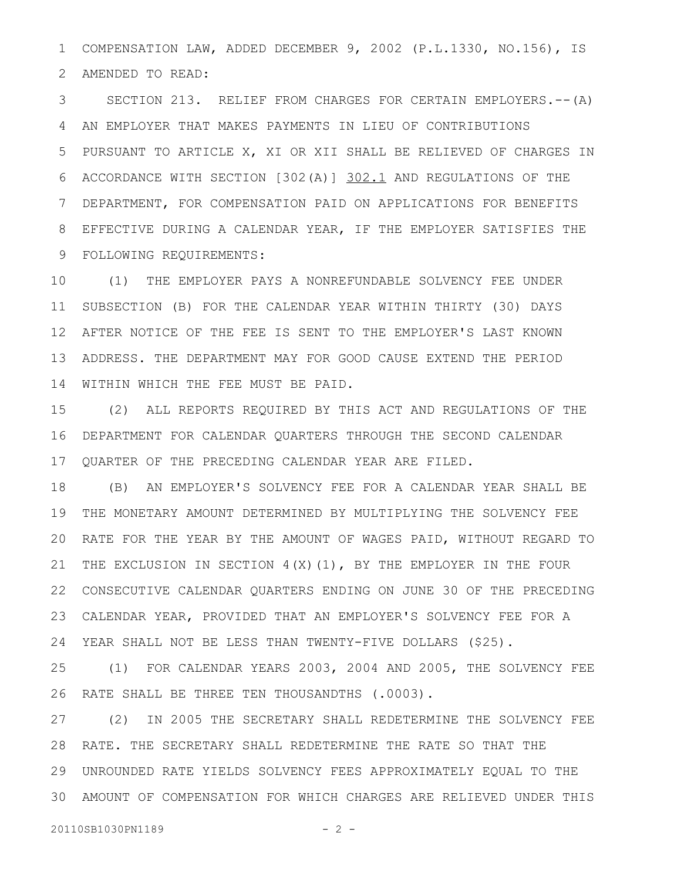COMPENSATION LAW, ADDED DECEMBER 9, 2002 (P.L.1330, NO.156), IS AMENDED TO READ: 1 2

SECTION 213. RELIEF FROM CHARGES FOR CERTAIN EMPLOYERS.--(A) AN EMPLOYER THAT MAKES PAYMENTS IN LIEU OF CONTRIBUTIONS PURSUANT TO ARTICLE X, XI OR XII SHALL BE RELIEVED OF CHARGES IN ACCORDANCE WITH SECTION [302(A)] 302.1 AND REGULATIONS OF THE DEPARTMENT, FOR COMPENSATION PAID ON APPLICATIONS FOR BENEFITS EFFECTIVE DURING A CALENDAR YEAR, IF THE EMPLOYER SATISFIES THE FOLLOWING REQUIREMENTS: 3 4 5 6 7 8 9

(1) THE EMPLOYER PAYS A NONREFUNDABLE SOLVENCY FEE UNDER SUBSECTION (B) FOR THE CALENDAR YEAR WITHIN THIRTY (30) DAYS AFTER NOTICE OF THE FEE IS SENT TO THE EMPLOYER'S LAST KNOWN ADDRESS. THE DEPARTMENT MAY FOR GOOD CAUSE EXTEND THE PERIOD WITHIN WHICH THE FEE MUST BE PAID. 10 11 12 13 14

(2) ALL REPORTS REQUIRED BY THIS ACT AND REGULATIONS OF THE DEPARTMENT FOR CALENDAR QUARTERS THROUGH THE SECOND CALENDAR 16 QUARTER OF THE PRECEDING CALENDAR YEAR ARE FILED. 15 17

(B) AN EMPLOYER'S SOLVENCY FEE FOR A CALENDAR YEAR SHALL BE THE MONETARY AMOUNT DETERMINED BY MULTIPLYING THE SOLVENCY FEE 20 RATE FOR THE YEAR BY THE AMOUNT OF WAGES PAID, WITHOUT REGARD TO THE EXCLUSION IN SECTION  $4(X)(1)$ , BY THE EMPLOYER IN THE FOUR 22 CONSECUTIVE CALENDAR QUARTERS ENDING ON JUNE 30 OF THE PRECEDING CALENDAR YEAR, PROVIDED THAT AN EMPLOYER'S SOLVENCY FEE FOR A YEAR SHALL NOT BE LESS THAN TWENTY-FIVE DOLLARS (\$25). 18 19 21 23 24

(1) FOR CALENDAR YEARS 2003, 2004 AND 2005, THE SOLVENCY FEE RATE SHALL BE THREE TEN THOUSANDTHS (.0003). 25 26

(2) IN 2005 THE SECRETARY SHALL REDETERMINE THE SOLVENCY FEE 28 RATE. THE SECRETARY SHALL REDETERMINE THE RATE SO THAT THE UNROUNDED RATE YIELDS SOLVENCY FEES APPROXIMATELY EQUAL TO THE 29 AMOUNT OF COMPENSATION FOR WHICH CHARGES ARE RELIEVED UNDER THIS 3027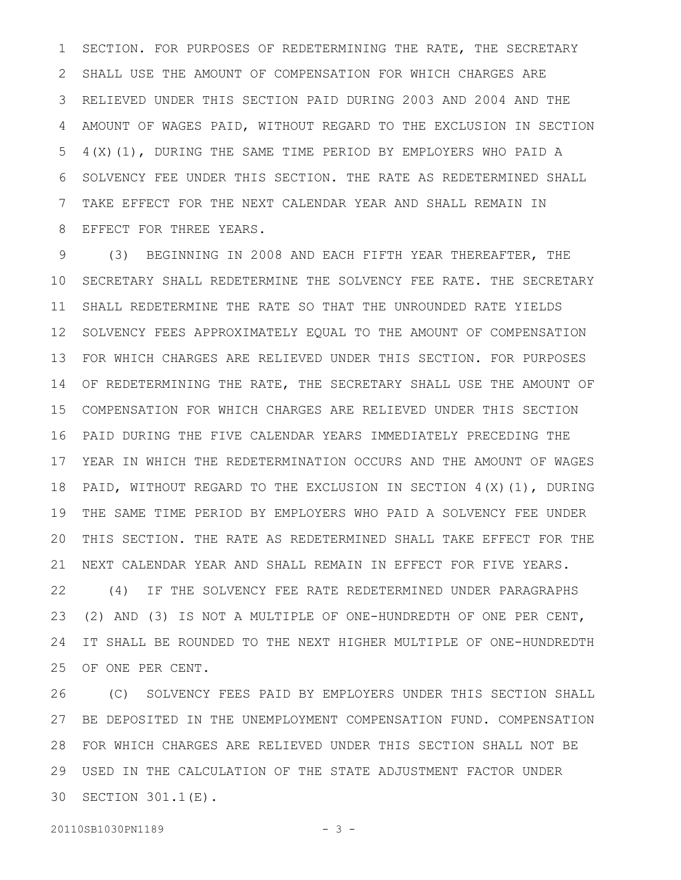SECTION. FOR PURPOSES OF REDETERMINING THE RATE, THE SECRETARY SHALL USE THE AMOUNT OF COMPENSATION FOR WHICH CHARGES ARE RELIEVED UNDER THIS SECTION PAID DURING 2003 AND 2004 AND THE AMOUNT OF WAGES PAID, WITHOUT REGARD TO THE EXCLUSION IN SECTION 4(X)(1), DURING THE SAME TIME PERIOD BY EMPLOYERS WHO PAID A SOLVENCY FEE UNDER THIS SECTION. THE RATE AS REDETERMINED SHALL TAKE EFFECT FOR THE NEXT CALENDAR YEAR AND SHALL REMAIN IN EFFECT FOR THREE YEARS. 1 2 3 4 5 6 7 8

(3) BEGINNING IN 2008 AND EACH FIFTH YEAR THEREAFTER, THE SECRETARY SHALL REDETERMINE THE SOLVENCY FEE RATE. THE SECRETARY SHALL REDETERMINE THE RATE SO THAT THE UNROUNDED RATE YIELDS 12 SOLVENCY FEES APPROXIMATELY EQUAL TO THE AMOUNT OF COMPENSATION FOR WHICH CHARGES ARE RELIEVED UNDER THIS SECTION. FOR PURPOSES 14 OF REDETERMINING THE RATE, THE SECRETARY SHALL USE THE AMOUNT OF COMPENSATION FOR WHICH CHARGES ARE RELIEVED UNDER THIS SECTION 15 PAID DURING THE FIVE CALENDAR YEARS IMMEDIATELY PRECEDING THE 16 17 YEAR IN WHICH THE REDETERMINATION OCCURS AND THE AMOUNT OF WAGES PAID, WITHOUT REGARD TO THE EXCLUSION IN SECTION  $4(X)(1)$ , DURING THE SAME TIME PERIOD BY EMPLOYERS WHO PAID A SOLVENCY FEE UNDER THIS SECTION. THE RATE AS REDETERMINED SHALL TAKE EFFECT FOR THE NEXT CALENDAR YEAR AND SHALL REMAIN IN EFFECT FOR FIVE YEARS. (4) IF THE SOLVENCY FEE RATE REDETERMINED UNDER PARAGRAPHS (2) AND (3) IS NOT A MULTIPLE OF ONE-HUNDREDTH OF ONE PER CENT, IT SHALL BE ROUNDED TO THE NEXT HIGHER MULTIPLE OF ONE-HUNDREDTH OF ONE PER CENT. 9 10 11 13 18 19 20 21 22 23 24 25

(C) SOLVENCY FEES PAID BY EMPLOYERS UNDER THIS SECTION SHALL 27 BE DEPOSITED IN THE UNEMPLOYMENT COMPENSATION FUND. COMPENSATION FOR WHICH CHARGES ARE RELIEVED UNDER THIS SECTION SHALL NOT BE 28 USED IN THE CALCULATION OF THE STATE ADJUSTMENT FACTOR UNDER 29 30 SECTION 301.1(E). 26

20110SB1030PN1189 - 3 -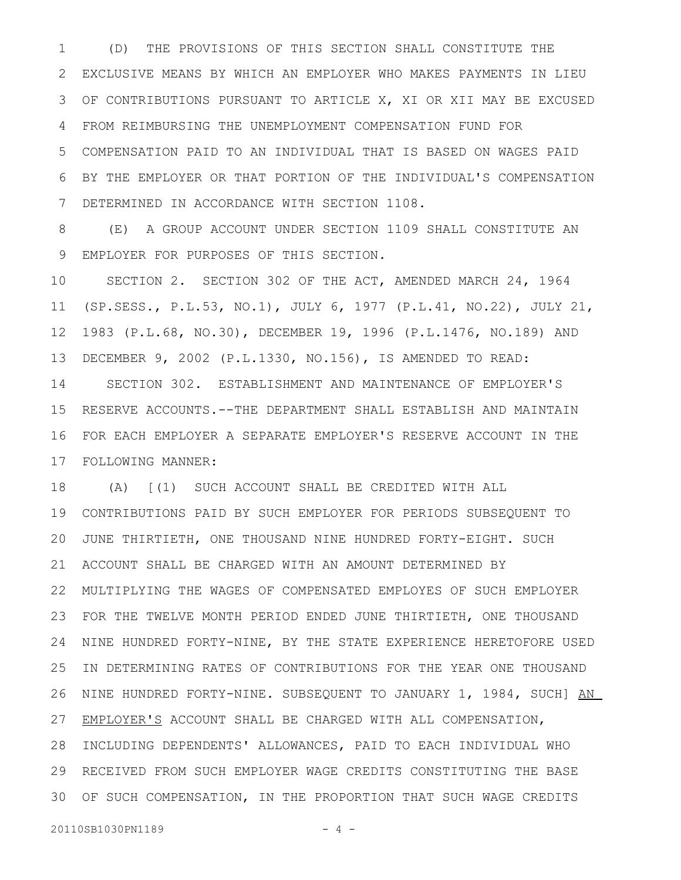(D) THE PROVISIONS OF THIS SECTION SHALL CONSTITUTE THE EXCLUSIVE MEANS BY WHICH AN EMPLOYER WHO MAKES PAYMENTS IN LIEU OF CONTRIBUTIONS PURSUANT TO ARTICLE X, XI OR XII MAY BE EXCUSED 3 FROM REIMBURSING THE UNEMPLOYMENT COMPENSATION FUND FOR COMPENSATION PAID TO AN INDIVIDUAL THAT IS BASED ON WAGES PAID BY THE EMPLOYER OR THAT PORTION OF THE INDIVIDUAL'S COMPENSATION DETERMINED IN ACCORDANCE WITH SECTION 1108. 1 2 4 5 6 7

(E) A GROUP ACCOUNT UNDER SECTION 1109 SHALL CONSTITUTE AN EMPLOYER FOR PURPOSES OF THIS SECTION. 8 9

SECTION 2. SECTION 302 OF THE ACT, AMENDED MARCH 24, 1964 (SP.SESS., P.L.53, NO.1), JULY 6, 1977 (P.L.41, NO.22), JULY 21, 1983 (P.L.68, NO.30), DECEMBER 19, 1996 (P.L.1476, NO.189) AND DECEMBER 9, 2002 (P.L.1330, NO.156), IS AMENDED TO READ: SECTION 302. ESTABLISHMENT AND MAINTENANCE OF EMPLOYER'S RESERVE ACCOUNTS.--THE DEPARTMENT SHALL ESTABLISH AND MAINTAIN FOR EACH EMPLOYER A SEPARATE EMPLOYER'S RESERVE ACCOUNT IN THE FOLLOWING MANNER: 17 10 11 12 13 14 15 16

(A) [(1) SUCH ACCOUNT SHALL BE CREDITED WITH ALL CONTRIBUTIONS PAID BY SUCH EMPLOYER FOR PERIODS SUBSEQUENT TO JUNE THIRTIETH, ONE THOUSAND NINE HUNDRED FORTY-EIGHT. SUCH ACCOUNT SHALL BE CHARGED WITH AN AMOUNT DETERMINED BY MULTIPLYING THE WAGES OF COMPENSATED EMPLOYES OF SUCH EMPLOYER 22 FOR THE TWELVE MONTH PERIOD ENDED JUNE THIRTIETH, ONE THOUSAND 23 24 NINE HUNDRED FORTY-NINE, BY THE STATE EXPERIENCE HERETOFORE USED IN DETERMINING RATES OF CONTRIBUTIONS FOR THE YEAR ONE THOUSAND 26 NINE HUNDRED FORTY-NINE. SUBSEQUENT TO JANUARY 1, 1984, SUCH] AN 27 EMPLOYER'S ACCOUNT SHALL BE CHARGED WITH ALL COMPENSATION, 28 INCLUDING DEPENDENTS' ALLOWANCES, PAID TO EACH INDIVIDUAL WHO RECEIVED FROM SUCH EMPLOYER WAGE CREDITS CONSTITUTING THE BASE 29 OF SUCH COMPENSATION, IN THE PROPORTION THAT SUCH WAGE CREDITS 3018 19 20 21 25

20110SB1030PN1189 - 4 -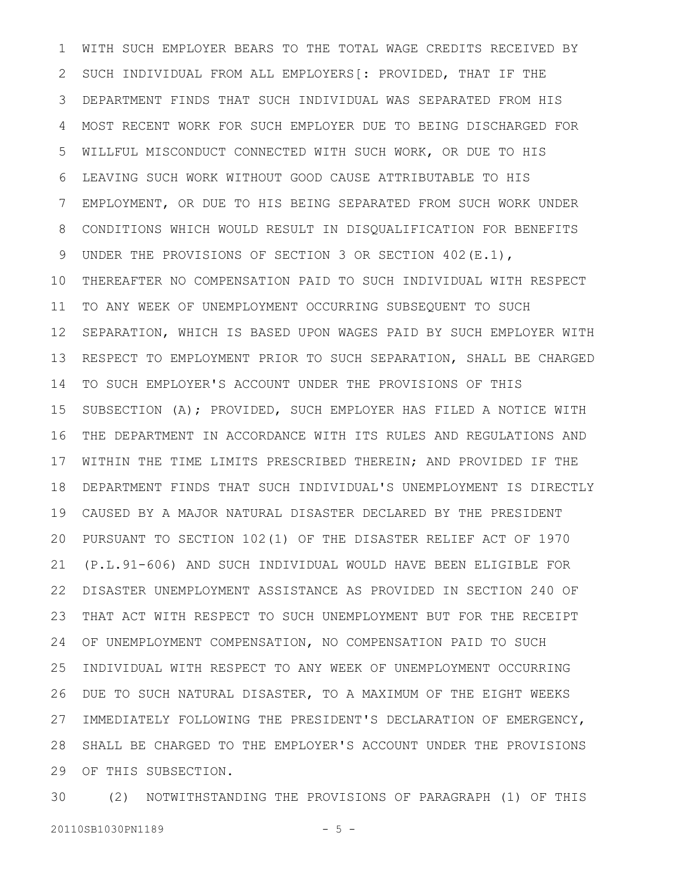WITH SUCH EMPLOYER BEARS TO THE TOTAL WAGE CREDITS RECEIVED BY SUCH INDIVIDUAL FROM ALL EMPLOYERS[: PROVIDED, THAT IF THE DEPARTMENT FINDS THAT SUCH INDIVIDUAL WAS SEPARATED FROM HIS MOST RECENT WORK FOR SUCH EMPLOYER DUE TO BEING DISCHARGED FOR WILLFUL MISCONDUCT CONNECTED WITH SUCH WORK, OR DUE TO HIS LEAVING SUCH WORK WITHOUT GOOD CAUSE ATTRIBUTABLE TO HIS EMPLOYMENT, OR DUE TO HIS BEING SEPARATED FROM SUCH WORK UNDER CONDITIONS WHICH WOULD RESULT IN DISQUALIFICATION FOR BENEFITS UNDER THE PROVISIONS OF SECTION 3 OR SECTION 402(E.1), THEREAFTER NO COMPENSATION PAID TO SUCH INDIVIDUAL WITH RESPECT TO ANY WEEK OF UNEMPLOYMENT OCCURRING SUBSEQUENT TO SUCH SEPARATION, WHICH IS BASED UPON WAGES PAID BY SUCH EMPLOYER WITH RESPECT TO EMPLOYMENT PRIOR TO SUCH SEPARATION, SHALL BE CHARGED TO SUCH EMPLOYER'S ACCOUNT UNDER THE PROVISIONS OF THIS SUBSECTION (A); PROVIDED, SUCH EMPLOYER HAS FILED A NOTICE WITH THE DEPARTMENT IN ACCORDANCE WITH ITS RULES AND REGULATIONS AND WITHIN THE TIME LIMITS PRESCRIBED THEREIN; AND PROVIDED IF THE DEPARTMENT FINDS THAT SUCH INDIVIDUAL'S UNEMPLOYMENT IS DIRECTLY CAUSED BY A MAJOR NATURAL DISASTER DECLARED BY THE PRESIDENT PURSUANT TO SECTION 102(1) OF THE DISASTER RELIEF ACT OF 1970 20 (P.L.91-606) AND SUCH INDIVIDUAL WOULD HAVE BEEN ELIGIBLE FOR DISASTER UNEMPLOYMENT ASSISTANCE AS PROVIDED IN SECTION 240 OF THAT ACT WITH RESPECT TO SUCH UNEMPLOYMENT BUT FOR THE RECEIPT OF UNEMPLOYMENT COMPENSATION, NO COMPENSATION PAID TO SUCH INDIVIDUAL WITH RESPECT TO ANY WEEK OF UNEMPLOYMENT OCCURRING DUE TO SUCH NATURAL DISASTER, TO A MAXIMUM OF THE EIGHT WEEKS IMMEDIATELY FOLLOWING THE PRESIDENT'S DECLARATION OF EMERGENCY, SHALL BE CHARGED TO THE EMPLOYER'S ACCOUNT UNDER THE PROVISIONS 29 OF THIS SUBSECTION. 1 2 3 4 5 6 7 8 9 10 11 12 13 14 15 16 17 18 19 21 22 23 24 25 26 27 28

(2) NOTWITHSTANDING THE PROVISIONS OF PARAGRAPH (1) OF THIS 20110SB1030PN1189 - 5 -30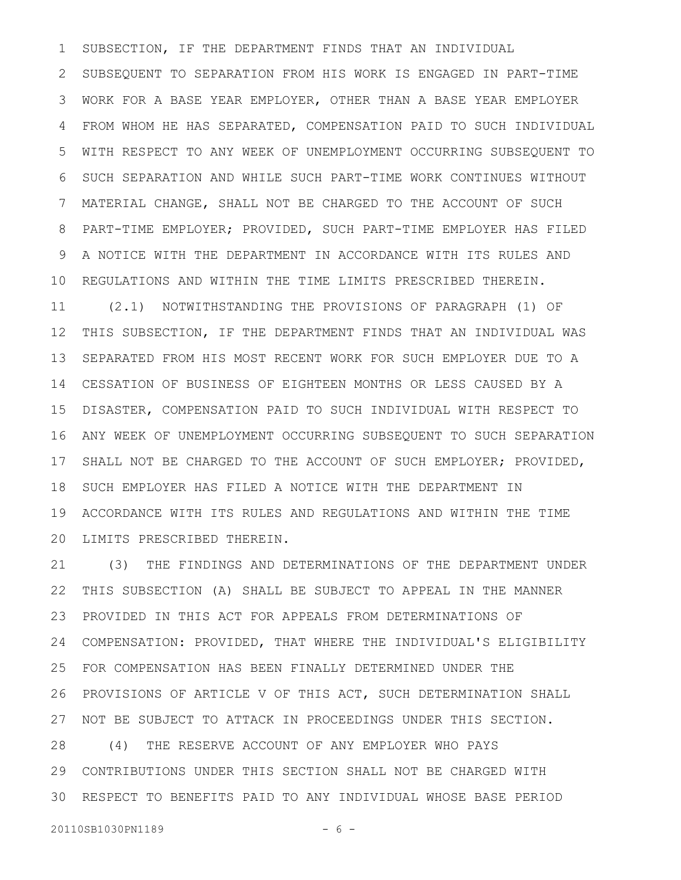SUBSECTION, IF THE DEPARTMENT FINDS THAT AN INDIVIDUAL SUBSEQUENT TO SEPARATION FROM HIS WORK IS ENGAGED IN PART-TIME WORK FOR A BASE YEAR EMPLOYER, OTHER THAN A BASE YEAR EMPLOYER FROM WHOM HE HAS SEPARATED, COMPENSATION PAID TO SUCH INDIVIDUAL WITH RESPECT TO ANY WEEK OF UNEMPLOYMENT OCCURRING SUBSEQUENT TO SUCH SEPARATION AND WHILE SUCH PART-TIME WORK CONTINUES WITHOUT MATERIAL CHANGE, SHALL NOT BE CHARGED TO THE ACCOUNT OF SUCH PART-TIME EMPLOYER; PROVIDED, SUCH PART-TIME EMPLOYER HAS FILED A NOTICE WITH THE DEPARTMENT IN ACCORDANCE WITH ITS RULES AND REGULATIONS AND WITHIN THE TIME LIMITS PRESCRIBED THEREIN. (2.1) NOTWITHSTANDING THE PROVISIONS OF PARAGRAPH (1) OF THIS SUBSECTION, IF THE DEPARTMENT FINDS THAT AN INDIVIDUAL WAS SEPARATED FROM HIS MOST RECENT WORK FOR SUCH EMPLOYER DUE TO A CESSATION OF BUSINESS OF EIGHTEEN MONTHS OR LESS CAUSED BY A DISASTER, COMPENSATION PAID TO SUCH INDIVIDUAL WITH RESPECT TO ANY WEEK OF UNEMPLOYMENT OCCURRING SUBSEQUENT TO SUCH SEPARATION SHALL NOT BE CHARGED TO THE ACCOUNT OF SUCH EMPLOYER; PROVIDED, SUCH EMPLOYER HAS FILED A NOTICE WITH THE DEPARTMENT IN ACCORDANCE WITH ITS RULES AND REGULATIONS AND WITHIN THE TIME 20 LIMITS PRESCRIBED THEREIN. 1 2 3 4 5 6 7 8 9 10 11 12 13 14 15 16 17 18 19

(3) THE FINDINGS AND DETERMINATIONS OF THE DEPARTMENT UNDER THIS SUBSECTION (A) SHALL BE SUBJECT TO APPEAL IN THE MANNER PROVIDED IN THIS ACT FOR APPEALS FROM DETERMINATIONS OF COMPENSATION: PROVIDED, THAT WHERE THE INDIVIDUAL'S ELIGIBILITY FOR COMPENSATION HAS BEEN FINALLY DETERMINED UNDER THE PROVISIONS OF ARTICLE V OF THIS ACT, SUCH DETERMINATION SHALL NOT BE SUBJECT TO ATTACK IN PROCEEDINGS UNDER THIS SECTION. (4) THE RESERVE ACCOUNT OF ANY EMPLOYER WHO PAYS CONTRIBUTIONS UNDER THIS SECTION SHALL NOT BE CHARGED WITH RESPECT TO BENEFITS PAID TO ANY INDIVIDUAL WHOSE BASE PERIOD 3021 22 23 24 25 26 27 28 29

20110SB1030PN1189 - 6 -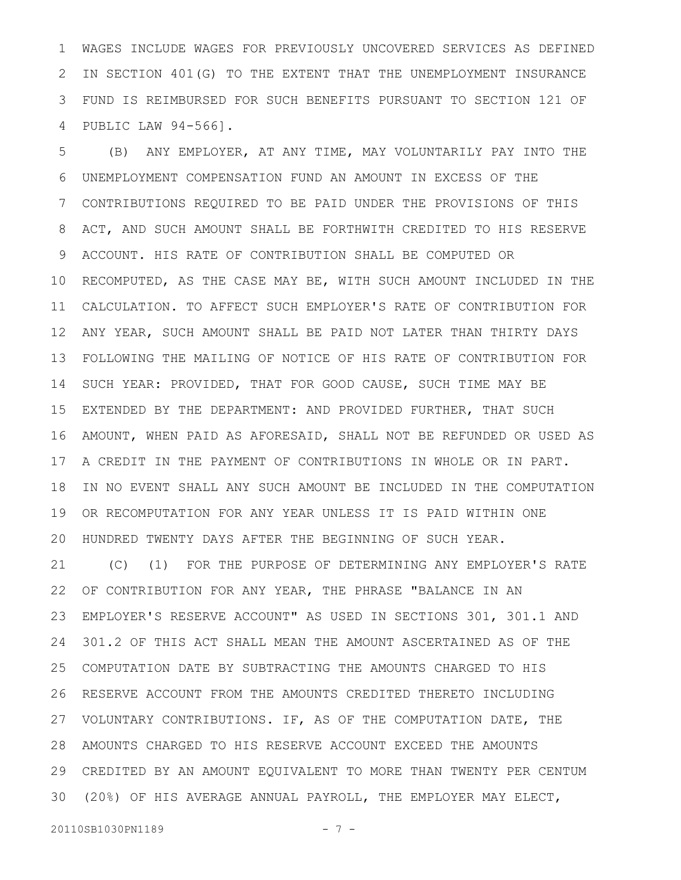WAGES INCLUDE WAGES FOR PREVIOUSLY UNCOVERED SERVICES AS DEFINED IN SECTION 401(G) TO THE EXTENT THAT THE UNEMPLOYMENT INSURANCE FUND IS REIMBURSED FOR SUCH BENEFITS PURSUANT TO SECTION 121 OF PUBLIC LAW 94-566]. 1 2 3 4

(B) ANY EMPLOYER, AT ANY TIME, MAY VOLUNTARILY PAY INTO THE UNEMPLOYMENT COMPENSATION FUND AN AMOUNT IN EXCESS OF THE CONTRIBUTIONS REQUIRED TO BE PAID UNDER THE PROVISIONS OF THIS ACT, AND SUCH AMOUNT SHALL BE FORTHWITH CREDITED TO HIS RESERVE ACCOUNT. HIS RATE OF CONTRIBUTION SHALL BE COMPUTED OR RECOMPUTED, AS THE CASE MAY BE, WITH SUCH AMOUNT INCLUDED IN THE CALCULATION. TO AFFECT SUCH EMPLOYER'S RATE OF CONTRIBUTION FOR ANY YEAR, SUCH AMOUNT SHALL BE PAID NOT LATER THAN THIRTY DAYS FOLLOWING THE MAILING OF NOTICE OF HIS RATE OF CONTRIBUTION FOR SUCH YEAR: PROVIDED, THAT FOR GOOD CAUSE, SUCH TIME MAY BE EXTENDED BY THE DEPARTMENT: AND PROVIDED FURTHER, THAT SUCH AMOUNT, WHEN PAID AS AFORESAID, SHALL NOT BE REFUNDED OR USED AS A CREDIT IN THE PAYMENT OF CONTRIBUTIONS IN WHOLE OR IN PART. IN NO EVENT SHALL ANY SUCH AMOUNT BE INCLUDED IN THE COMPUTATION OR RECOMPUTATION FOR ANY YEAR UNLESS IT IS PAID WITHIN ONE HUNDRED TWENTY DAYS AFTER THE BEGINNING OF SUCH YEAR. (C) (1) FOR THE PURPOSE OF DETERMINING ANY EMPLOYER'S RATE OF CONTRIBUTION FOR ANY YEAR, THE PHRASE "BALANCE IN AN EMPLOYER'S RESERVE ACCOUNT" AS USED IN SECTIONS 301, 301.1 AND 301.2 OF THIS ACT SHALL MEAN THE AMOUNT ASCERTAINED AS OF THE 5 6 7 8 9 10 11 12 13 14 15 16 17 18 19 20 21 22 23 24

COMPUTATION DATE BY SUBTRACTING THE AMOUNTS CHARGED TO HIS RESERVE ACCOUNT FROM THE AMOUNTS CREDITED THERETO INCLUDING VOLUNTARY CONTRIBUTIONS. IF, AS OF THE COMPUTATION DATE, THE AMOUNTS CHARGED TO HIS RESERVE ACCOUNT EXCEED THE AMOUNTS CREDITED BY AN AMOUNT EQUIVALENT TO MORE THAN TWENTY PER CENTUM (20%) OF HIS AVERAGE ANNUAL PAYROLL, THE EMPLOYER MAY ELECT, 3025 26 27 28 29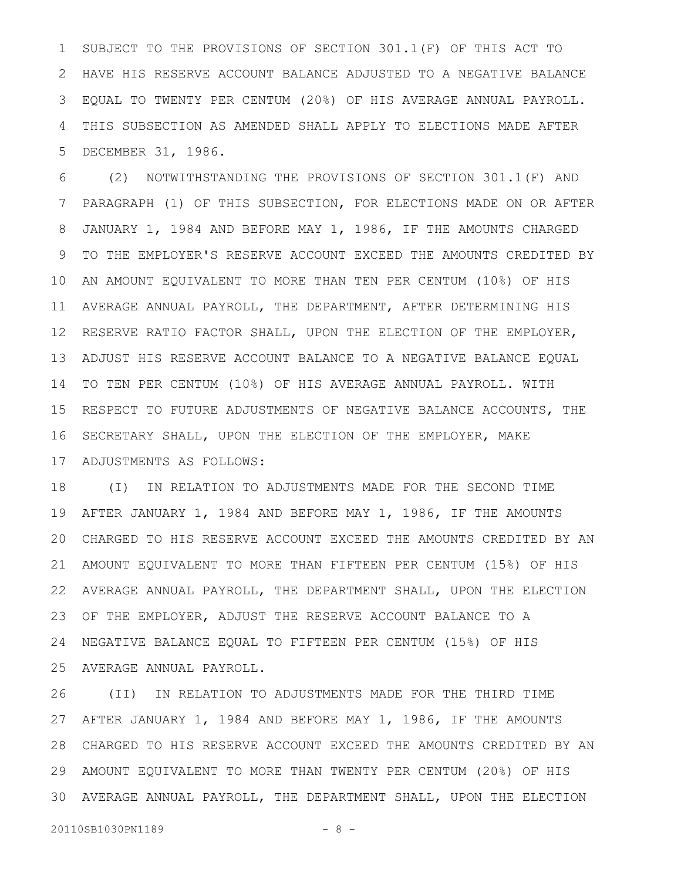SUBJECT TO THE PROVISIONS OF SECTION 301.1(F) OF THIS ACT TO HAVE HIS RESERVE ACCOUNT BALANCE ADJUSTED TO A NEGATIVE BALANCE EQUAL TO TWENTY PER CENTUM (20%) OF HIS AVERAGE ANNUAL PAYROLL. THIS SUBSECTION AS AMENDED SHALL APPLY TO ELECTIONS MADE AFTER DECEMBER 31, 1986. 1 2 3 4 5

(2) NOTWITHSTANDING THE PROVISIONS OF SECTION 301.1(F) AND PARAGRAPH (1) OF THIS SUBSECTION, FOR ELECTIONS MADE ON OR AFTER JANUARY 1, 1984 AND BEFORE MAY 1, 1986, IF THE AMOUNTS CHARGED TO THE EMPLOYER'S RESERVE ACCOUNT EXCEED THE AMOUNTS CREDITED BY AN AMOUNT EQUIVALENT TO MORE THAN TEN PER CENTUM (10%) OF HIS AVERAGE ANNUAL PAYROLL, THE DEPARTMENT, AFTER DETERMINING HIS RESERVE RATIO FACTOR SHALL, UPON THE ELECTION OF THE EMPLOYER, 12 ADJUST HIS RESERVE ACCOUNT BALANCE TO A NEGATIVE BALANCE EQUAL TO TEN PER CENTUM (10%) OF HIS AVERAGE ANNUAL PAYROLL. WITH RESPECT TO FUTURE ADJUSTMENTS OF NEGATIVE BALANCE ACCOUNTS, THE SECRETARY SHALL, UPON THE ELECTION OF THE EMPLOYER, MAKE ADJUSTMENTS AS FOLLOWS: 6 7 8 9 10 11 13 14 15 16 17

(I) IN RELATION TO ADJUSTMENTS MADE FOR THE SECOND TIME AFTER JANUARY 1, 1984 AND BEFORE MAY 1, 1986, IF THE AMOUNTS CHARGED TO HIS RESERVE ACCOUNT EXCEED THE AMOUNTS CREDITED BY AN AMOUNT EQUIVALENT TO MORE THAN FIFTEEN PER CENTUM (15%) OF HIS AVERAGE ANNUAL PAYROLL, THE DEPARTMENT SHALL, UPON THE ELECTION 22 OF THE EMPLOYER, ADJUST THE RESERVE ACCOUNT BALANCE TO A NEGATIVE BALANCE EQUAL TO FIFTEEN PER CENTUM (15%) OF HIS AVERAGE ANNUAL PAYROLL. 18 19 20 21 23 24 25

(II) IN RELATION TO ADJUSTMENTS MADE FOR THE THIRD TIME AFTER JANUARY 1, 1984 AND BEFORE MAY 1, 1986, IF THE AMOUNTS CHARGED TO HIS RESERVE ACCOUNT EXCEED THE AMOUNTS CREDITED BY AN 28 AMOUNT EQUIVALENT TO MORE THAN TWENTY PER CENTUM (20%) OF HIS 29 AVERAGE ANNUAL PAYROLL, THE DEPARTMENT SHALL, UPON THE ELECTION 3026 27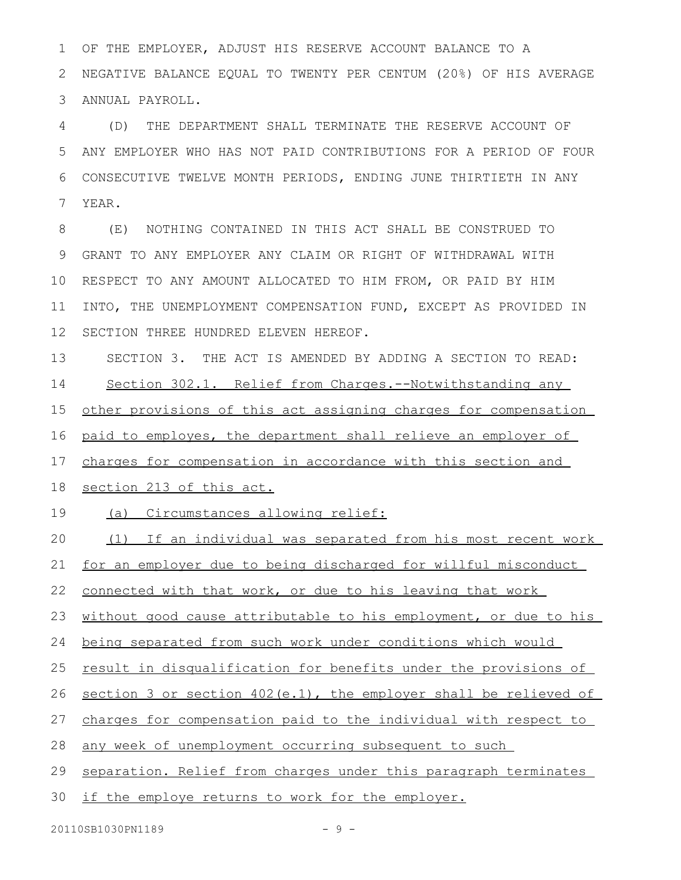OF THE EMPLOYER, ADJUST HIS RESERVE ACCOUNT BALANCE TO A NEGATIVE BALANCE EQUAL TO TWENTY PER CENTUM (20%) OF HIS AVERAGE ANNUAL PAYROLL. 1 2 3

(D) THE DEPARTMENT SHALL TERMINATE THE RESERVE ACCOUNT OF ANY EMPLOYER WHO HAS NOT PAID CONTRIBUTIONS FOR A PERIOD OF FOUR CONSECUTIVE TWELVE MONTH PERIODS, ENDING JUNE THIRTIETH IN ANY YEAR. 4 5 6 7

(E) NOTHING CONTAINED IN THIS ACT SHALL BE CONSTRUED TO GRANT TO ANY EMPLOYER ANY CLAIM OR RIGHT OF WITHDRAWAL WITH RESPECT TO ANY AMOUNT ALLOCATED TO HIM FROM, OR PAID BY HIM INTO, THE UNEMPLOYMENT COMPENSATION FUND, EXCEPT AS PROVIDED IN SECTION THREE HUNDRED ELEVEN HEREOF. 8 9 10 11 12

SECTION 3. THE ACT IS AMENDED BY ADDING A SECTION TO READ: Section 302.1. Relief from Charges.--Notwithstanding any other provisions of this act assigning charges for compensation paid to employes, the department shall relieve an employer of charges for compensation in accordance with this section and 13 14 15 16 17

section 213 of this act. 18

(a) Circumstances allowing relief: 19

(1) If an individual was separated from his most recent work 20

for an employer due to being discharged for willful misconduct 21

connected with that work, or due to his leaving that work 22

without good cause attributable to his employment, or due to his 23

being separated from such work under conditions which would 24

result in disqualification for benefits under the provisions of 25

section 3 or section  $402(e.1)$ , the employer shall be relieved of 26

charges for compensation paid to the individual with respect to 27

any week of unemployment occurring subsequent to such 28

separation. Relief from charges under this paragraph terminates 29

if the employe returns to work for the employer. 30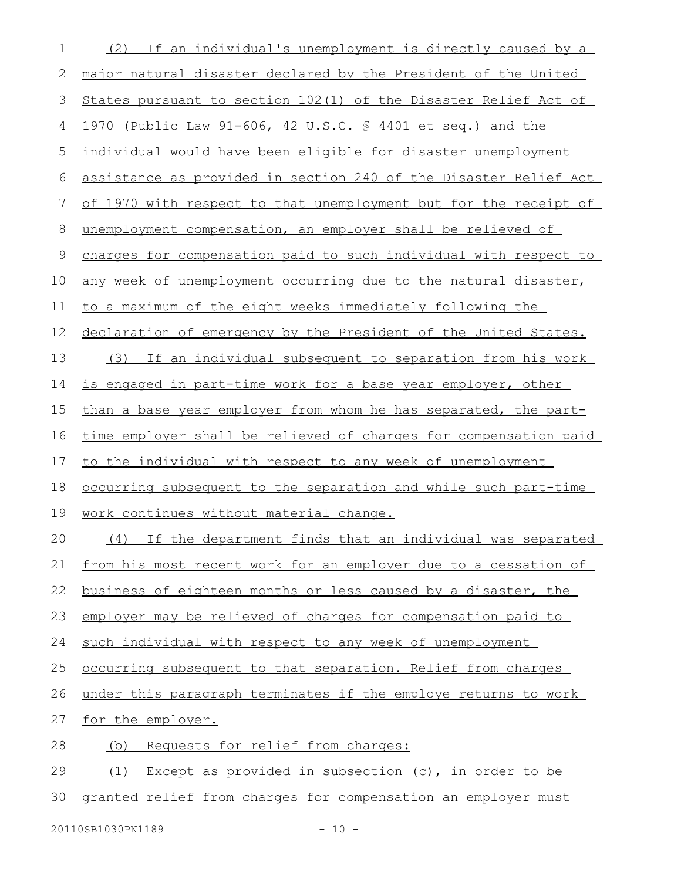| 1  | If an individual's unemployment is directly caused by a<br>(2)   |
|----|------------------------------------------------------------------|
| 2  | major natural disaster declared by the President of the United   |
| 3  | States pursuant to section 102(1) of the Disaster Relief Act of  |
| 4  | 1970 (Public Law 91-606, 42 U.S.C. § 4401 et seq.) and the       |
| 5  | individual would have been eligible for disaster unemployment    |
| 6  | assistance as provided in section 240 of the Disaster Relief Act |
| 7  | of 1970 with respect to that unemployment but for the receipt of |
| 8  | unemployment compensation, an employer shall be relieved of      |
| 9  | charges for compensation paid to such individual with respect to |
| 10 | any week of unemployment occurring due to the natural disaster,  |
| 11 | to a maximum of the eight weeks immediately following the        |
| 12 | declaration of emergency by the President of the United States.  |
| 13 | If an individual subsequent to separation from his work<br>(3)   |
| 14 | is engaged in part-time work for a base year employer, other     |
| 15 | than a base year employer from whom he has separated, the part-  |
| 16 | time employer shall be relieved of charges for compensation paid |
| 17 | to the individual with respect to any week of unemployment       |
| 18 | occurring subsequent to the separation and while such part-time  |
| 19 | work continues without material change.                          |
| 20 | (4) If the department finds that an individual was separated     |
| 21 | from his most recent work for an employer due to a cessation of  |
| 22 | business of eighteen months or less caused by a disaster, the    |
| 23 | employer may be relieved of charges for compensation paid to     |
| 24 | such individual with respect to any week of unemployment         |
| 25 | occurring subsequent to that separation. Relief from charges     |
| 26 | under this paragraph terminates if the employe returns to work   |
| 27 | for the employer.                                                |
| 28 | Requests for relief from charges:<br>(b)                         |
| 29 | Except as provided in subsection (c), in order to be<br>(1)      |
| 30 | granted relief from charges for compensation an employer must    |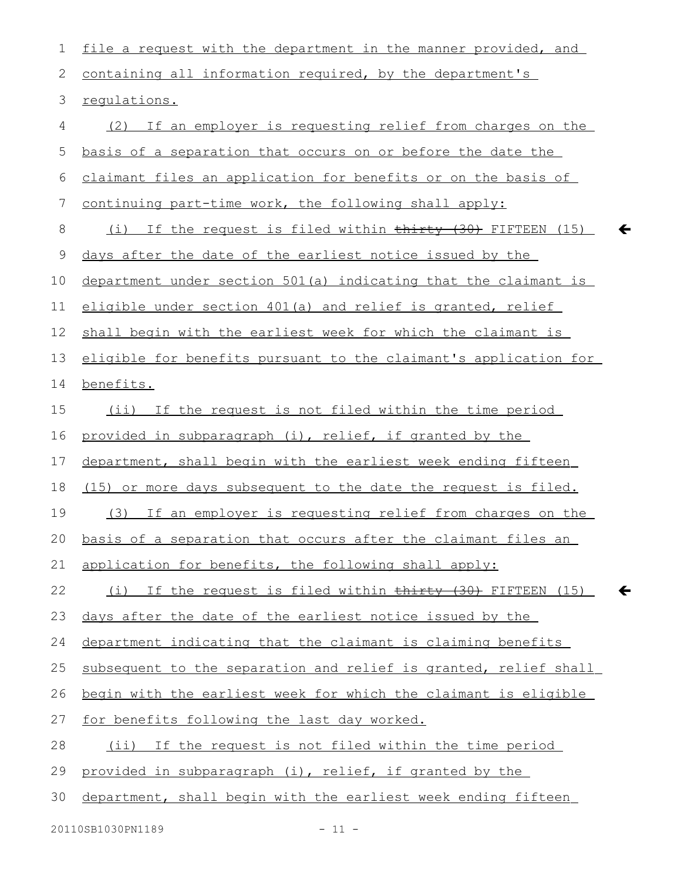file a request with the department in the manner provided, and containing all information required, by the department's regulations. (2) If an employer is requesting relief from charges on the basis of a separation that occurs on or before the date the claimant files an application for benefits or on the basis of continuing part-time work, the following shall apply: (i) If the request is filed within  $\frac{1}{2}$  +  $\frac{1}{30}$  FIFTEEN (15) days after the date of the earliest notice issued by the department under section 501(a) indicating that the claimant is eligible under section 401(a) and relief is granted, relief shall begin with the earliest week for which the claimant is eligible for benefits pursuant to the claimant's application for benefits. (ii) If the request is not filed within the time period provided in subparagraph (i), relief, if granted by the department, shall begin with the earliest week ending fifteen (15) or more days subsequent to the date the request is filed. (3) If an employer is requesting relief from charges on the basis of a separation that occurs after the claimant files an application for benefits, the following shall apply: (i) If the request is filed within  $\frac{1}{2}$  (30) FIFTEEN (15) days after the date of the earliest notice issued by the department indicating that the claimant is claiming benefits subsequent to the separation and relief is granted, relief shall begin with the earliest week for which the claimant is eligible for benefits following the last day worked. (ii) If the request is not filed within the time period provided in subparagraph (i), relief, if granted by the department, shall begin with the earliest week ending fifteen 1 2 3 4 5 6 7 8 9 10 11 12 13 14 15 16 17 18 19 20 21 22 23 24 25 26 27 28 29 30

 $\leftarrow$ 

 $\leftarrow$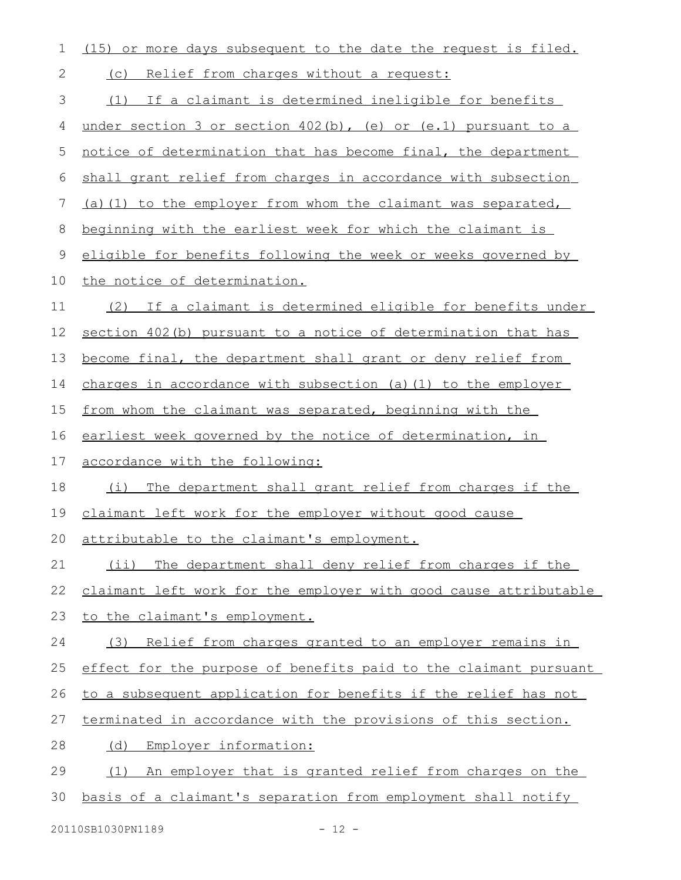| 1           | (15) or more days subsequent to the date the request is filed.   |
|-------------|------------------------------------------------------------------|
| 2           | Relief from charges without a request:<br>(C)                    |
| 3           | (1) If a claimant is determined ineligible for benefits          |
| 4           | under section 3 or section $402(b)$ , (e) or (e.1) pursuant to a |
| 5           | notice of determination that has become final, the department    |
| 6           | shall grant relief from charges in accordance with subsection    |
| 7           | (a) (1) to the employer from whom the claimant was separated,    |
| 8           | beginning with the earliest week for which the claimant is       |
| $\mathsf 9$ | eligible for benefits following the week or weeks governed by    |
| 10          | the notice of determination.                                     |
| 11          | (2) If a claimant is determined eligible for benefits under      |
| 12          | section 402(b) pursuant to a notice of determination that has    |
| 13          | become final, the department shall grant or deny relief from     |
| 14          | charges in accordance with subsection (a) $(1)$ to the employer  |
| 15          | from whom the claimant was separated, beginning with the         |
| 16          | earliest week governed by the notice of determination, in        |
| 17          | accordance with the following:                                   |
| 18          | (i) The department shall grant relief from charges if the        |
| 19          | claimant left work for the employer without good cause           |
| 20          | attributable to the claimant's employment.                       |
| 21          | The department shall deny relief from charges if the<br>(i)      |
| 22          | claimant left work for the employer with good cause attributable |
| 23          | to the claimant's employment.                                    |
| 24          | Relief from charges granted to an employer remains in<br>(3)     |
| 25          | effect for the purpose of benefits paid to the claimant pursuant |
| 26          | to a subsequent application for benefits if the relief has not   |
| 27          | terminated in accordance with the provisions of this section.    |
| 28          | Employer information:<br>(d)                                     |
| 29          | An employer that is granted relief from charges on the<br>(1)    |
| 30          | basis of a claimant's separation from employment shall notify    |
|             |                                                                  |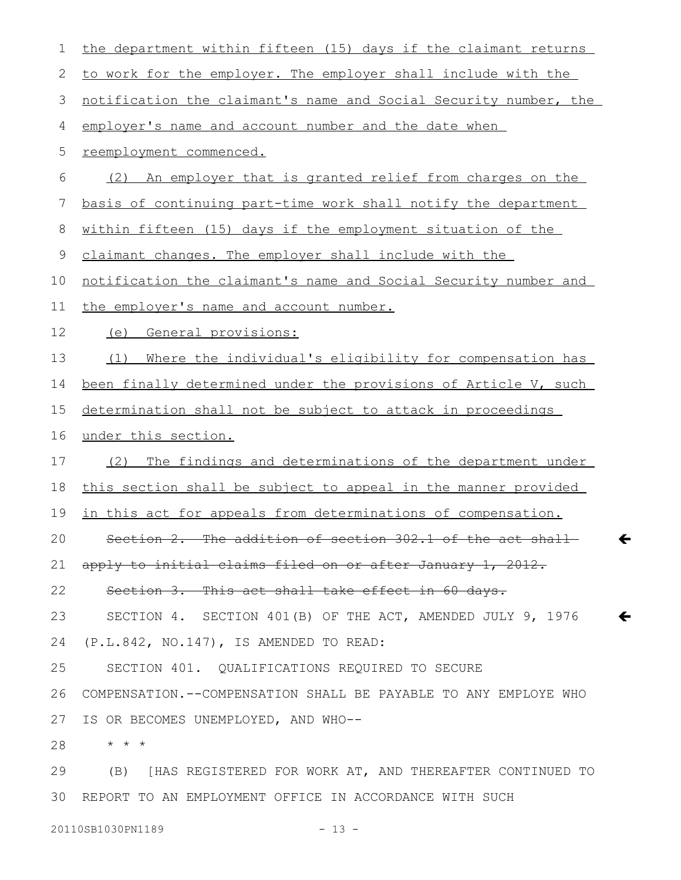| 1  | the department within fifteen (15) days if the claimant returns  |
|----|------------------------------------------------------------------|
| 2  | to work for the employer. The employer shall include with the    |
| 3  | notification the claimant's name and Social Security number, the |
| 4  | employer's name and account number and the date when             |
| 5  | reemployment commenced.                                          |
| 6  | An employer that is granted relief from charges on the<br>(2)    |
| 7  | basis of continuing part-time work shall notify the department   |
| 8  | within fifteen (15) days if the employment situation of the      |
| 9  | claimant changes. The employer shall include with the            |
| 10 | notification the claimant's name and Social Security number and  |
| 11 | the employer's name and account number.                          |
| 12 | (e) General provisions:                                          |
| 13 | Where the individual's eligibility for compensation has<br>(1)   |
| 14 | been finally determined under the provisions of Article V, such  |
| 15 | determination shall not be subject to attack in proceedings      |
| 16 | under this section.                                              |
| 17 | The findings and determinations of the department under<br>(2)   |
| 18 | this section shall be subject to appeal in the manner provided   |
| 19 | in this act for appeals from determinations of compensation.     |
| 20 | Section 2. The addition of section 302.1 of the act shall        |
| 21 | apply to initial claims filed on or after January 1, 2012.       |
| 22 | Section 3. This act shall take effect in 60 days.                |
| 23 | SECTION 4. SECTION 401(B) OF THE ACT, AMENDED JULY 9, 1976       |
| 24 | (P.L.842, NO.147), IS AMENDED TO READ:                           |
| 25 | SECTION 401. OUALIFICATIONS REQUIRED TO SECURE                   |
| 26 | COMPENSATION. --COMPENSATION SHALL BE PAYABLE TO ANY EMPLOYE WHO |
| 27 | IS OR BECOMES UNEMPLOYED, AND WHO--                              |
| 28 | $\star$ $\star$ $\star$                                          |
| 29 | (B) [HAS REGISTERED FOR WORK AT, AND THEREAFTER CONTINUED TO     |
| 30 | REPORT TO AN EMPLOYMENT OFFICE IN ACCORDANCE WITH SUCH           |

 $\leftarrow$ 

 $\leftarrow$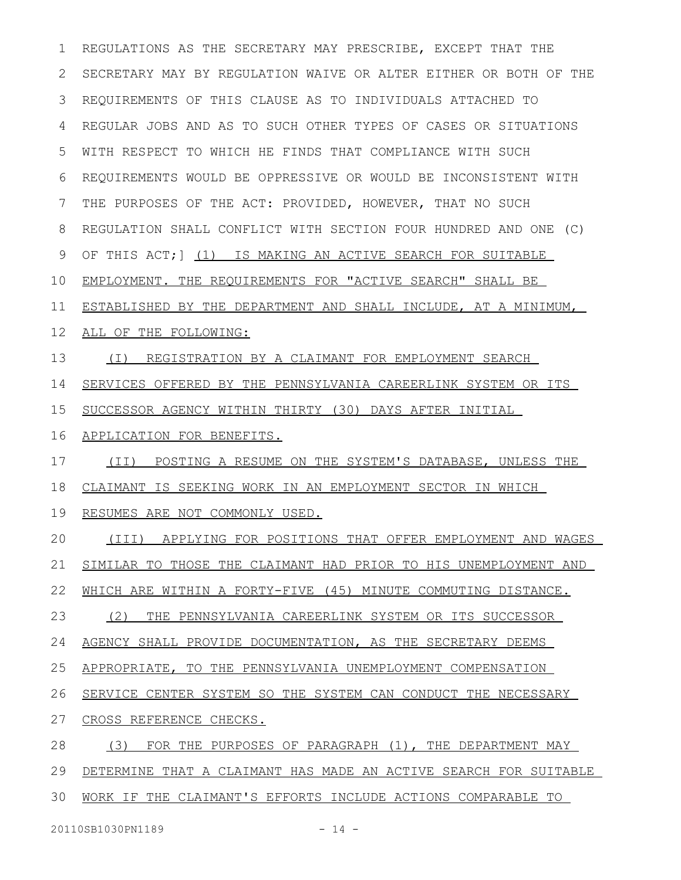REGULATIONS AS THE SECRETARY MAY PRESCRIBE, EXCEPT THAT THE SECRETARY MAY BY REGULATION WAIVE OR ALTER EITHER OR BOTH OF THE REQUIREMENTS OF THIS CLAUSE AS TO INDIVIDUALS ATTACHED TO REGULAR JOBS AND AS TO SUCH OTHER TYPES OF CASES OR SITUATIONS WITH RESPECT TO WHICH HE FINDS THAT COMPLIANCE WITH SUCH REQUIREMENTS WOULD BE OPPRESSIVE OR WOULD BE INCONSISTENT WITH THE PURPOSES OF THE ACT: PROVIDED, HOWEVER, THAT NO SUCH REGULATION SHALL CONFLICT WITH SECTION FOUR HUNDRED AND ONE (C) OF THIS ACT;] (1) IS MAKING AN ACTIVE SEARCH FOR SUITABLE EMPLOYMENT. THE REQUIREMENTS FOR "ACTIVE SEARCH" SHALL BE ESTABLISHED BY THE DEPARTMENT AND SHALL INCLUDE, AT A MINIMUM, ALL OF THE FOLLOWING: (I) REGISTRATION BY A CLAIMANT FOR EMPLOYMENT SEARCH SERVICES OFFERED BY THE PENNSYLVANIA CAREERLINK SYSTEM OR ITS SUCCESSOR AGENCY WITHIN THIRTY (30) DAYS AFTER INITIAL APPLICATION FOR BENEFITS. (II) POSTING A RESUME ON THE SYSTEM'S DATABASE, UNLESS THE CLAIMANT IS SEEKING WORK IN AN EMPLOYMENT SECTOR IN WHICH RESUMES ARE NOT COMMONLY USED. (III) APPLYING FOR POSITIONS THAT OFFER EMPLOYMENT AND WAGES SIMILAR TO THOSE THE CLAIMANT HAD PRIOR TO HIS UNEMPLOYMENT AND WHICH ARE WITHIN A FORTY-FIVE (45) MINUTE COMMUTING DISTANCE. (2) THE PENNSYLVANIA CAREERLINK SYSTEM OR ITS SUCCESSOR AGENCY SHALL PROVIDE DOCUMENTATION, AS THE SECRETARY DEEMS APPROPRIATE, TO THE PENNSYLVANIA UNEMPLOYMENT COMPENSATION SERVICE CENTER SYSTEM SO THE SYSTEM CAN CONDUCT THE NECESSARY CROSS REFERENCE CHECKS. (3) FOR THE PURPOSES OF PARAGRAPH (1), THE DEPARTMENT MAY DETERMINE THAT A CLAIMANT HAS MADE AN ACTIVE SEARCH FOR SUITABLE WORK IF THE CLAIMANT'S EFFORTS INCLUDE ACTIONS COMPARABLE TO 1 2 3 4 5 6 7 8 9 10 11 12 13 14 15 16 17 18 19 20 21 22 23 24 25 26 27 28 29 30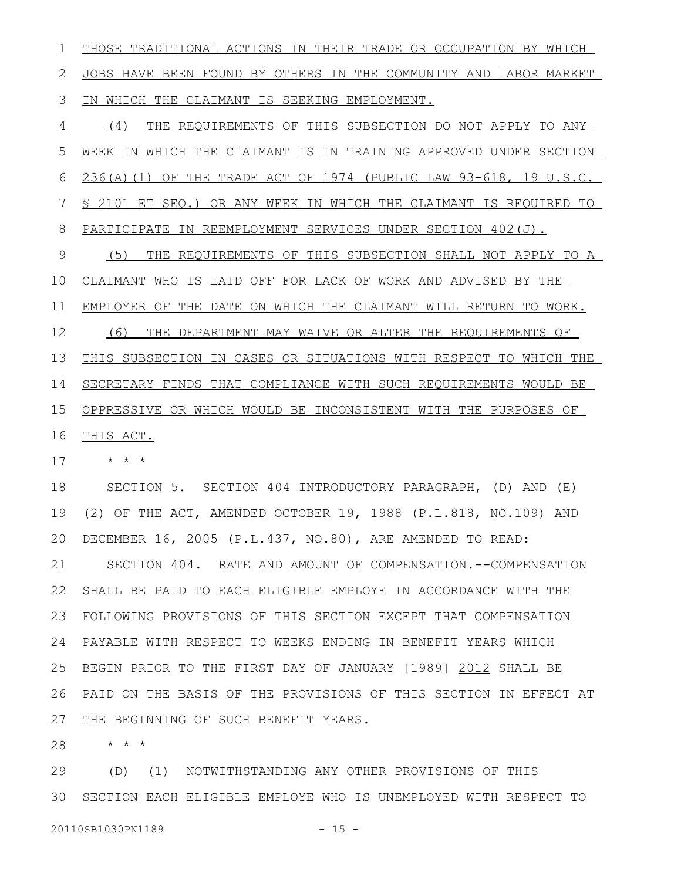THOSE TRADITIONAL ACTIONS IN THEIR TRADE OR OCCUPATION BY WHICH JOBS HAVE BEEN FOUND BY OTHERS IN THE COMMUNITY AND LABOR MARKET IN WHICH THE CLAIMANT IS SEEKING EMPLOYMENT. 1 2 3

(4) THE REQUIREMENTS OF THIS SUBSECTION DO NOT APPLY TO ANY WEEK IN WHICH THE CLAIMANT IS IN TRAINING APPROVED UNDER SECTION 236(A)(1) OF THE TRADE ACT OF 1974 (PUBLIC LAW 93-618, 19 U.S.C. § 2101 ET SEQ.) OR ANY WEEK IN WHICH THE CLAIMANT IS REQUIRED TO PARTICIPATE IN REEMPLOYMENT SERVICES UNDER SECTION 402(J). (5) THE REQUIREMENTS OF THIS SUBSECTION SHALL NOT APPLY TO A CLAIMANT WHO IS LAID OFF FOR LACK OF WORK AND ADVISED BY THE EMPLOYER OF THE DATE ON WHICH THE CLAIMANT WILL RETURN TO WORK. (6) THE DEPARTMENT MAY WAIVE OR ALTER THE REQUIREMENTS OF THIS SUBSECTION IN CASES OR SITUATIONS WITH RESPECT TO WHICH THE SECRETARY FINDS THAT COMPLIANCE WITH SUCH REQUIREMENTS WOULD BE OPPRESSIVE OR WHICH WOULD BE INCONSISTENT WITH THE PURPOSES OF THIS ACT. 4 5 6 7 8 9 10 11 12 13 14 15 16

\* \* \* 17

SECTION 5. SECTION 404 INTRODUCTORY PARAGRAPH, (D) AND (E) (2) OF THE ACT, AMENDED OCTOBER 19, 1988 (P.L.818, NO.109) AND DECEMBER 16, 2005 (P.L.437, NO.80), ARE AMENDED TO READ: SECTION 404. RATE AND AMOUNT OF COMPENSATION.--COMPENSATION SHALL BE PAID TO EACH ELIGIBLE EMPLOYE IN ACCORDANCE WITH THE FOLLOWING PROVISIONS OF THIS SECTION EXCEPT THAT COMPENSATION PAYABLE WITH RESPECT TO WEEKS ENDING IN BENEFIT YEARS WHICH BEGIN PRIOR TO THE FIRST DAY OF JANUARY [1989] 2012 SHALL BE PAID ON THE BASIS OF THE PROVISIONS OF THIS SECTION IN EFFECT AT THE BEGINNING OF SUCH BENEFIT YEARS. 18 19 20 21 22 23 24 25 26 27

\* \* \* 28

(D) (1) NOTWITHSTANDING ANY OTHER PROVISIONS OF THIS SECTION EACH ELIGIBLE EMPLOYE WHO IS UNEMPLOYED WITH RESPECT TO 3029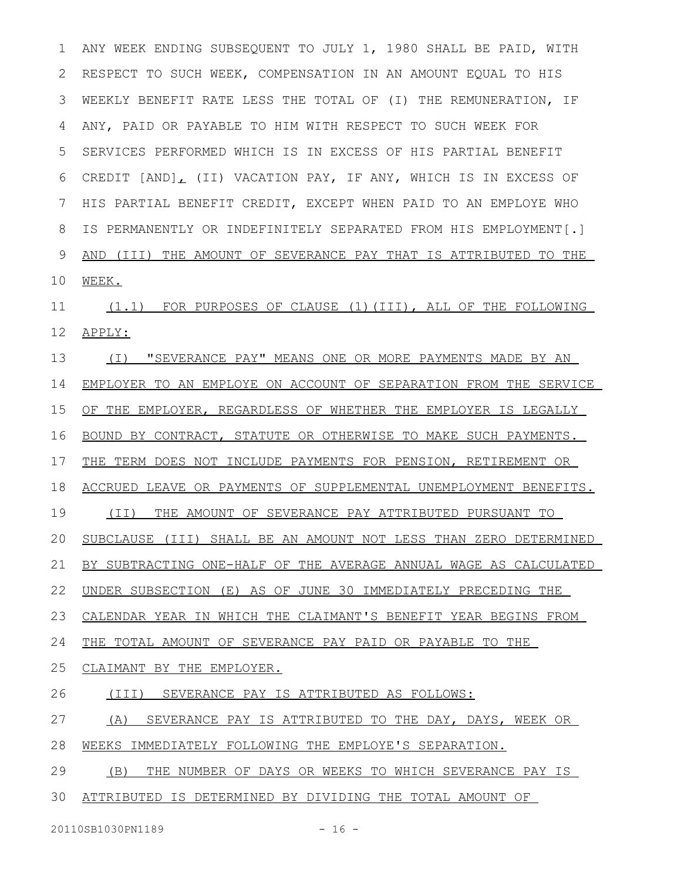ANY WEEK ENDING SUBSEQUENT TO JULY 1, 1980 SHALL BE PAID, WITH RESPECT TO SUCH WEEK, COMPENSATION IN AN AMOUNT EQUAL TO HIS WEEKLY BENEFIT RATE LESS THE TOTAL OF (I) THE REMUNERATION, IF ANY, PAID OR PAYABLE TO HIM WITH RESPECT TO SUCH WEEK FOR SERVICES PERFORMED WHICH IS IN EXCESS OF HIS PARTIAL BENEFIT CREDIT [AND] (II) VACATION PAY, IF ANY, WHICH IS IN EXCESS OF HIS PARTIAL BENEFIT CREDIT, EXCEPT WHEN PAID TO AN EMPLOYE WHO IS PERMANENTLY OR INDEFINITELY SEPARATED FROM HIS EMPLOYMENT[.] AND (III) THE AMOUNT OF SEVERANCE PAY THAT IS ATTRIBUTED TO THE WEEK. (1.1) FOR PURPOSES OF CLAUSE (1)(III), ALL OF THE FOLLOWING APPLY: (I) "SEVERANCE PAY" MEANS ONE OR MORE PAYMENTS MADE BY AN EMPLOYER TO AN EMPLOYE ON ACCOUNT OF SEPARATION FROM THE SERVICE OF THE EMPLOYER, REGARDLESS OF WHETHER THE EMPLOYER IS LEGALLY BOUND BY CONTRACT, STATUTE OR OTHERWISE TO MAKE SUCH PAYMENTS. THE TERM DOES NOT INCLUDE PAYMENTS FOR PENSION, RETIREMENT OR ACCRUED LEAVE OR PAYMENTS OF SUPPLEMENTAL UNEMPLOYMENT BENEFITS. (II) THE AMOUNT OF SEVERANCE PAY ATTRIBUTED PURSUANT TO SUBCLAUSE (III) SHALL BE AN AMOUNT NOT LESS THAN ZERO DETERMINED BY SUBTRACTING ONE-HALF OF THE AVERAGE ANNUAL WAGE AS CALCULATED UNDER SUBSECTION (E) AS OF JUNE 30 IMMEDIATELY PRECEDING THE CALENDAR YEAR IN WHICH THE CLAIMANT'S BENEFIT YEAR BEGINS FROM THE TOTAL AMOUNT OF SEVERANCE PAY PAID OR PAYABLE TO THE CLAIMANT BY THE EMPLOYER. (III) SEVERANCE PAY IS ATTRIBUTED AS FOLLOWS: (A) SEVERANCE PAY IS ATTRIBUTED TO THE DAY, DAYS, WEEK OR WEEKS IMMEDIATELY FOLLOWING THE EMPLOYE'S SEPARATION. (B) THE NUMBER OF DAYS OR WEEKS TO WHICH SEVERANCE PAY IS ATTRIBUTED IS DETERMINED BY DIVIDING THE TOTAL AMOUNT OF 1 2 3 4 5 6 7 8 9 10 11 12 13 14 15 16 17 18 19 20 21 22 23 24 25 26 27 28 29 30

20110SB1030PN1189 - 16 -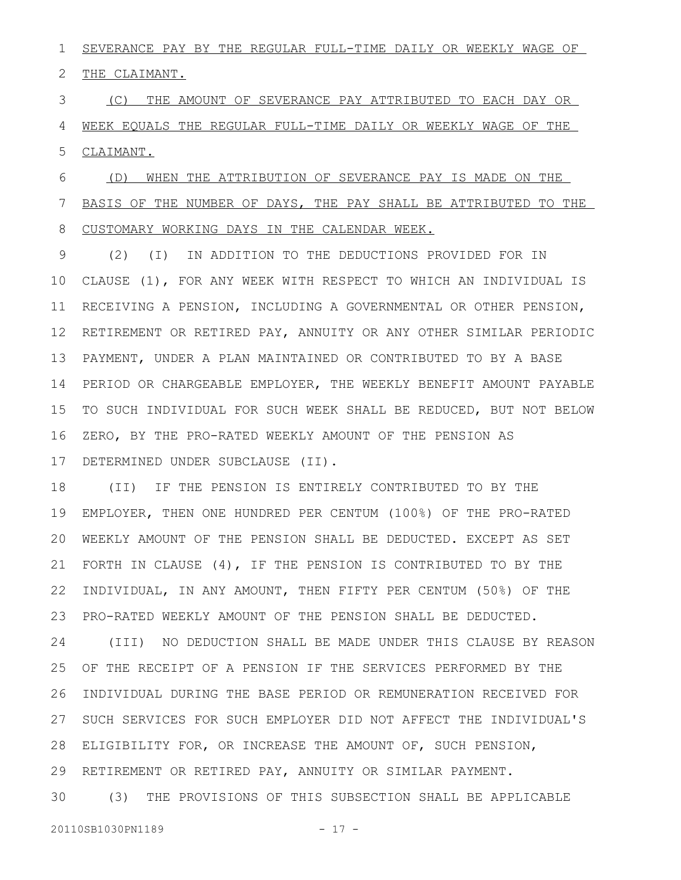SEVERANCE PAY BY THE REGULAR FULL-TIME DAILY OR WEEKLY WAGE OF 1

THE CLAIMANT. 2

(C) THE AMOUNT OF SEVERANCE PAY ATTRIBUTED TO EACH DAY OR WEEK EQUALS THE REGULAR FULL-TIME DAILY OR WEEKLY WAGE OF THE CLAIMANT. 3 4 5

(D) WHEN THE ATTRIBUTION OF SEVERANCE PAY IS MADE ON THE BASIS OF THE NUMBER OF DAYS, THE PAY SHALL BE ATTRIBUTED TO THE CUSTOMARY WORKING DAYS IN THE CALENDAR WEEK. 6 7 8

(2) (I) IN ADDITION TO THE DEDUCTIONS PROVIDED FOR IN CLAUSE (1), FOR ANY WEEK WITH RESPECT TO WHICH AN INDIVIDUAL IS RECEIVING A PENSION, INCLUDING A GOVERNMENTAL OR OTHER PENSION, 12 RETIREMENT OR RETIRED PAY, ANNUITY OR ANY OTHER SIMILAR PERIODIC PAYMENT, UNDER A PLAN MAINTAINED OR CONTRIBUTED TO BY A BASE PERIOD OR CHARGEABLE EMPLOYER, THE WEEKLY BENEFIT AMOUNT PAYABLE TO SUCH INDIVIDUAL FOR SUCH WEEK SHALL BE REDUCED, BUT NOT BELOW ZERO, BY THE PRO-RATED WEEKLY AMOUNT OF THE PENSION AS DETERMINED UNDER SUBCLAUSE (II). 9 10 11 13 14 15 16 17

(II) IF THE PENSION IS ENTIRELY CONTRIBUTED TO BY THE EMPLOYER, THEN ONE HUNDRED PER CENTUM (100%) OF THE PRO-RATED WEEKLY AMOUNT OF THE PENSION SHALL BE DEDUCTED. EXCEPT AS SET FORTH IN CLAUSE (4), IF THE PENSION IS CONTRIBUTED TO BY THE INDIVIDUAL, IN ANY AMOUNT, THEN FIFTY PER CENTUM (50%) OF THE PRO-RATED WEEKLY AMOUNT OF THE PENSION SHALL BE DEDUCTED. 18 19 20 21 22 23

(III) NO DEDUCTION SHALL BE MADE UNDER THIS CLAUSE BY REASON OF THE RECEIPT OF A PENSION IF THE SERVICES PERFORMED BY THE INDIVIDUAL DURING THE BASE PERIOD OR REMUNERATION RECEIVED FOR 27 SUCH SERVICES FOR SUCH EMPLOYER DID NOT AFFECT THE INDIVIDUAL'S ELIGIBILITY FOR, OR INCREASE THE AMOUNT OF, SUCH PENSION, 28 RETIREMENT OR RETIRED PAY, ANNUITY OR SIMILAR PAYMENT. 24 25 26 29

(3) THE PROVISIONS OF THIS SUBSECTION SHALL BE APPLICABLE 30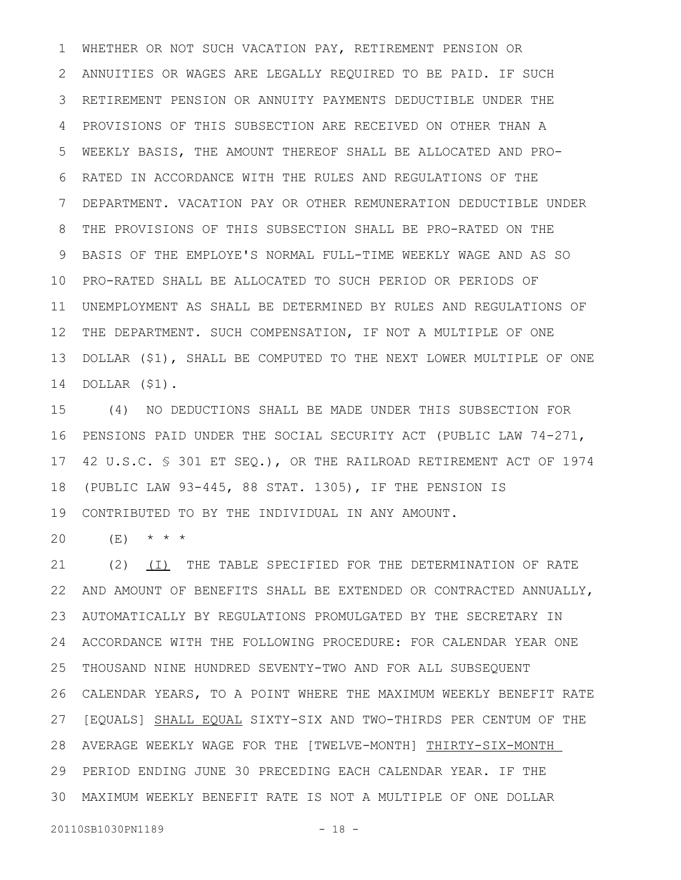WHETHER OR NOT SUCH VACATION PAY, RETIREMENT PENSION OR ANNUITIES OR WAGES ARE LEGALLY REQUIRED TO BE PAID. IF SUCH RETIREMENT PENSION OR ANNUITY PAYMENTS DEDUCTIBLE UNDER THE PROVISIONS OF THIS SUBSECTION ARE RECEIVED ON OTHER THAN A WEEKLY BASIS, THE AMOUNT THEREOF SHALL BE ALLOCATED AND PRO-RATED IN ACCORDANCE WITH THE RULES AND REGULATIONS OF THE DEPARTMENT. VACATION PAY OR OTHER REMUNERATION DEDUCTIBLE UNDER THE PROVISIONS OF THIS SUBSECTION SHALL BE PRO-RATED ON THE BASIS OF THE EMPLOYE'S NORMAL FULL-TIME WEEKLY WAGE AND AS SO 10 PRO-RATED SHALL BE ALLOCATED TO SUCH PERIOD OR PERIODS OF UNEMPLOYMENT AS SHALL BE DETERMINED BY RULES AND REGULATIONS OF THE DEPARTMENT. SUCH COMPENSATION, IF NOT A MULTIPLE OF ONE DOLLAR (\$1), SHALL BE COMPUTED TO THE NEXT LOWER MULTIPLE OF ONE DOLLAR (\$1). 1 2 3 4 5 6 7 8 9 11 12 13 14

(4) NO DEDUCTIONS SHALL BE MADE UNDER THIS SUBSECTION FOR PENSIONS PAID UNDER THE SOCIAL SECURITY ACT (PUBLIC LAW 74-271, 42 U.S.C. § 301 ET SEQ.), OR THE RAILROAD RETIREMENT ACT OF 1974 (PUBLIC LAW 93-445, 88 STAT. 1305), IF THE PENSION IS CONTRIBUTED TO BY THE INDIVIDUAL IN ANY AMOUNT. 15 16 17 18 19

(E) \* \* \* 20

(2) (I) THE TABLE SPECIFIED FOR THE DETERMINATION OF RATE AND AMOUNT OF BENEFITS SHALL BE EXTENDED OR CONTRACTED ANNUALLY, AUTOMATICALLY BY REGULATIONS PROMULGATED BY THE SECRETARY IN ACCORDANCE WITH THE FOLLOWING PROCEDURE: FOR CALENDAR YEAR ONE THOUSAND NINE HUNDRED SEVENTY-TWO AND FOR ALL SUBSEQUENT CALENDAR YEARS, TO A POINT WHERE THE MAXIMUM WEEKLY BENEFIT RATE 26 27 [EQUALS] SHALL EQUAL SIXTY-SIX AND TWO-THIRDS PER CENTUM OF THE AVERAGE WEEKLY WAGE FOR THE [TWELVE-MONTH] THIRTY-SIX-MONTH PERIOD ENDING JUNE 30 PRECEDING EACH CALENDAR YEAR. IF THE 29 MAXIMUM WEEKLY BENEFIT RATE IS NOT A MULTIPLE OF ONE DOLLAR 3021 22 23 24 25 28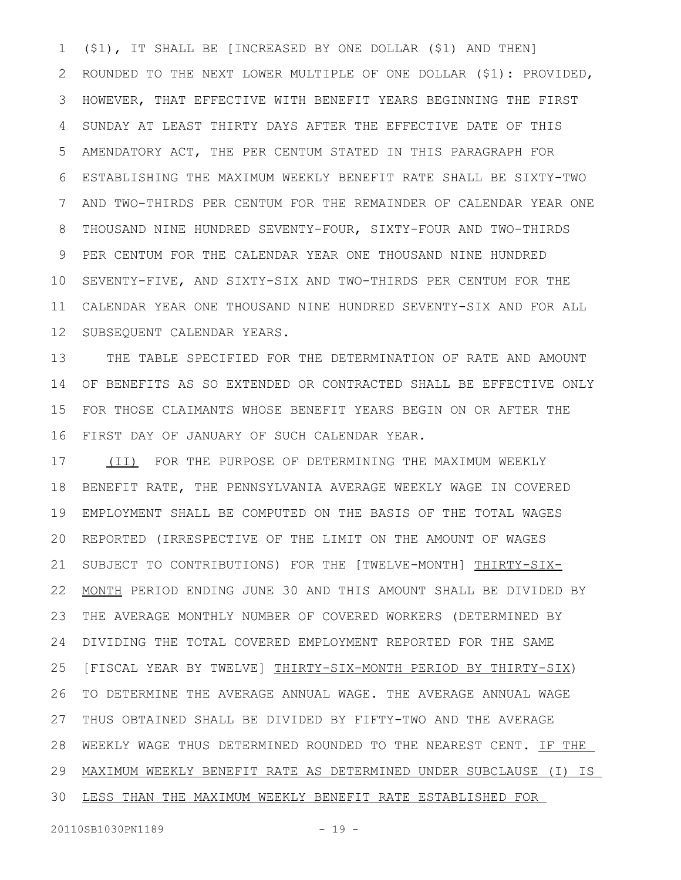(\$1), IT SHALL BE [INCREASED BY ONE DOLLAR (\$1) AND THEN] ROUNDED TO THE NEXT LOWER MULTIPLE OF ONE DOLLAR (\$1): PROVIDED, HOWEVER, THAT EFFECTIVE WITH BENEFIT YEARS BEGINNING THE FIRST SUNDAY AT LEAST THIRTY DAYS AFTER THE EFFECTIVE DATE OF THIS AMENDATORY ACT, THE PER CENTUM STATED IN THIS PARAGRAPH FOR ESTABLISHING THE MAXIMUM WEEKLY BENEFIT RATE SHALL BE SIXTY-TWO AND TWO-THIRDS PER CENTUM FOR THE REMAINDER OF CALENDAR YEAR ONE THOUSAND NINE HUNDRED SEVENTY-FOUR, SIXTY-FOUR AND TWO-THIRDS PER CENTUM FOR THE CALENDAR YEAR ONE THOUSAND NINE HUNDRED SEVENTY-FIVE, AND SIXTY-SIX AND TWO-THIRDS PER CENTUM FOR THE CALENDAR YEAR ONE THOUSAND NINE HUNDRED SEVENTY-SIX AND FOR ALL SUBSEQUENT CALENDAR YEARS. 1 2 3 4 5 6 7 8 9 10 11 12

THE TABLE SPECIFIED FOR THE DETERMINATION OF RATE AND AMOUNT OF BENEFITS AS SO EXTENDED OR CONTRACTED SHALL BE EFFECTIVE ONLY FOR THOSE CLAIMANTS WHOSE BENEFIT YEARS BEGIN ON OR AFTER THE FIRST DAY OF JANUARY OF SUCH CALENDAR YEAR. 13 14 15 16

(II) FOR THE PURPOSE OF DETERMINING THE MAXIMUM WEEKLY BENEFIT RATE, THE PENNSYLVANIA AVERAGE WEEKLY WAGE IN COVERED EMPLOYMENT SHALL BE COMPUTED ON THE BASIS OF THE TOTAL WAGES REPORTED (IRRESPECTIVE OF THE LIMIT ON THE AMOUNT OF WAGES SUBJECT TO CONTRIBUTIONS) FOR THE [TWELVE-MONTH] THIRTY-SIX-MONTH PERIOD ENDING JUNE 30 AND THIS AMOUNT SHALL BE DIVIDED BY THE AVERAGE MONTHLY NUMBER OF COVERED WORKERS (DETERMINED BY DIVIDING THE TOTAL COVERED EMPLOYMENT REPORTED FOR THE SAME [FISCAL YEAR BY TWELVE] THIRTY-SIX-MONTH PERIOD BY THIRTY-SIX) TO DETERMINE THE AVERAGE ANNUAL WAGE. THE AVERAGE ANNUAL WAGE THUS OBTAINED SHALL BE DIVIDED BY FIFTY-TWO AND THE AVERAGE WEEKLY WAGE THUS DETERMINED ROUNDED TO THE NEAREST CENT. IF THE MAXIMUM WEEKLY BENEFIT RATE AS DETERMINED UNDER SUBCLAUSE (I) IS 29 LESS THAN THE MAXIMUM WEEKLY BENEFIT RATE ESTABLISHED FOR 17 18 19 20 21 22 23 24 25 26 27 28 30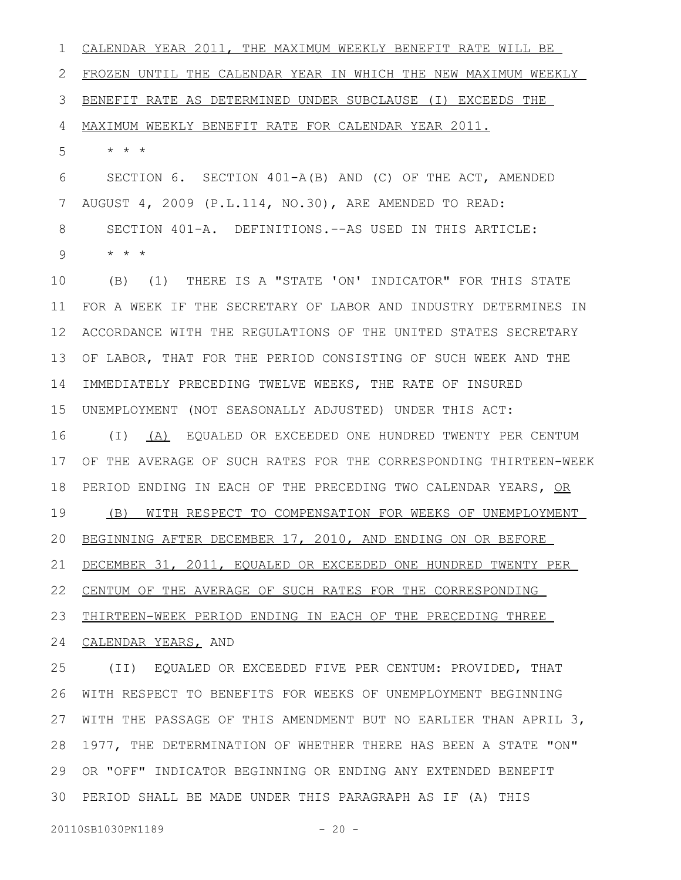CALENDAR YEAR 2011, THE MAXIMUM WEEKLY BENEFIT RATE WILL BE FROZEN UNTIL THE CALENDAR YEAR IN WHICH THE NEW MAXIMUM WEEKLY BENEFIT RATE AS DETERMINED UNDER SUBCLAUSE (I) EXCEEDS THE MAXIMUM WEEKLY BENEFIT RATE FOR CALENDAR YEAR 2011. \* \* \* SECTION 6. SECTION 401-A(B) AND (C) OF THE ACT, AMENDED AUGUST 4, 2009 (P.L.114, NO.30), ARE AMENDED TO READ: SECTION 401-A. DEFINITIONS.--AS USED IN THIS ARTICLE: \* \* \* (B) (1) THERE IS A "STATE 'ON' INDICATOR" FOR THIS STATE FOR A WEEK IF THE SECRETARY OF LABOR AND INDUSTRY DETERMINES IN ACCORDANCE WITH THE REGULATIONS OF THE UNITED STATES SECRETARY OF LABOR, THAT FOR THE PERIOD CONSISTING OF SUCH WEEK AND THE IMMEDIATELY PRECEDING TWELVE WEEKS, THE RATE OF INSURED UNEMPLOYMENT (NOT SEASONALLY ADJUSTED) UNDER THIS ACT: (I) (A) EQUALED OR EXCEEDED ONE HUNDRED TWENTY PER CENTUM OF THE AVERAGE OF SUCH RATES FOR THE CORRESPONDING THIRTEEN-WEEK PERIOD ENDING IN EACH OF THE PRECEDING TWO CALENDAR YEARS, OR (B) WITH RESPECT TO COMPENSATION FOR WEEKS OF UNEMPLOYMENT BEGINNING AFTER DECEMBER 17, 2010, AND ENDING ON OR BEFORE DECEMBER 31, 2011, EQUALED OR EXCEEDED ONE HUNDRED TWENTY PER CENTUM OF THE AVERAGE OF SUCH RATES FOR THE CORRESPONDING THIRTEEN-WEEK PERIOD ENDING IN EACH OF THE PRECEDING THREE 24 CALENDAR YEARS, AND (II) EQUALED OR EXCEEDED FIVE PER CENTUM: PROVIDED, THAT WITH RESPECT TO BENEFITS FOR WEEKS OF UNEMPLOYMENT BEGINNING WITH THE PASSAGE OF THIS AMENDMENT BUT NO EARLIER THAN APRIL 3, 1 2 3 4 5 6 7 8 9 10 11 12 13 14 15 16 17 18 19 20 21 22 23 25 26 27

1977, THE DETERMINATION OF WHETHER THERE HAS BEEN A STATE "ON" OR "OFF" INDICATOR BEGINNING OR ENDING ANY EXTENDED BENEFIT PERIOD SHALL BE MADE UNDER THIS PARAGRAPH AS IF (A) THIS 3028 29

20110SB1030PN1189 - 20 -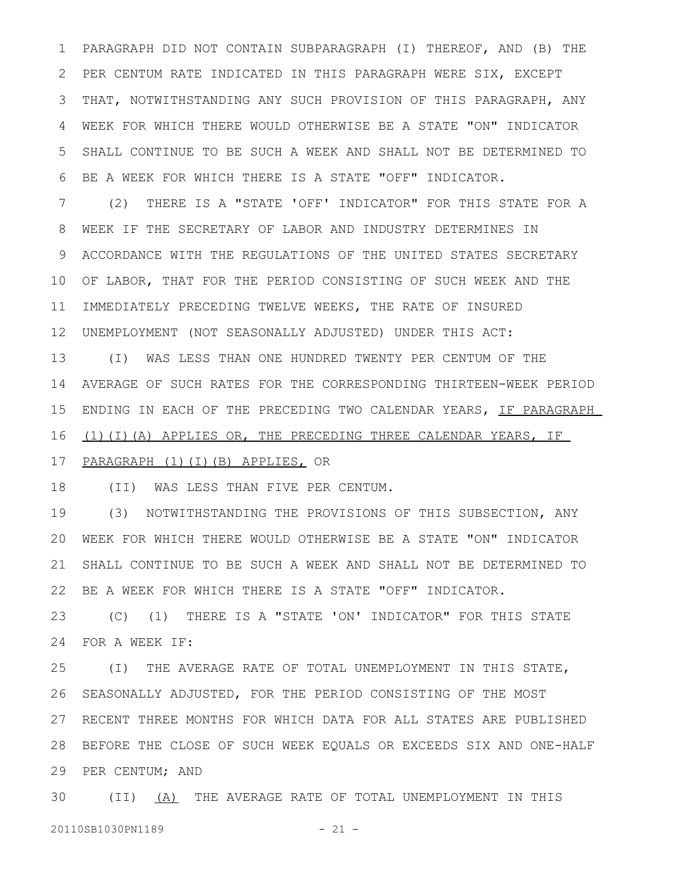PARAGRAPH DID NOT CONTAIN SUBPARAGRAPH (I) THEREOF, AND (B) THE PER CENTUM RATE INDICATED IN THIS PARAGRAPH WERE SIX, EXCEPT THAT, NOTWITHSTANDING ANY SUCH PROVISION OF THIS PARAGRAPH, ANY WEEK FOR WHICH THERE WOULD OTHERWISE BE A STATE "ON" INDICATOR SHALL CONTINUE TO BE SUCH A WEEK AND SHALL NOT BE DETERMINED TO BE A WEEK FOR WHICH THERE IS A STATE "OFF" INDICATOR. 1 2 3 4 5 6

(2) THERE IS A "STATE 'OFF' INDICATOR" FOR THIS STATE FOR A WEEK IF THE SECRETARY OF LABOR AND INDUSTRY DETERMINES IN ACCORDANCE WITH THE REGULATIONS OF THE UNITED STATES SECRETARY 10 OF LABOR, THAT FOR THE PERIOD CONSISTING OF SUCH WEEK AND THE 11 IMMEDIATELY PRECEDING TWELVE WEEKS, THE RATE OF INSURED UNEMPLOYMENT (NOT SEASONALLY ADJUSTED) UNDER THIS ACT: 12 7 8 9

(I) WAS LESS THAN ONE HUNDRED TWENTY PER CENTUM OF THE AVERAGE OF SUCH RATES FOR THE CORRESPONDING THIRTEEN-WEEK PERIOD ENDING IN EACH OF THE PRECEDING TWO CALENDAR YEARS, IF PARAGRAPH (1)(I)(A) APPLIES OR, THE PRECEDING THREE CALENDAR YEARS, IF 13 14 15 16

#### PARAGRAPH (1)(I)(B) APPLIES, OR 17

(II) WAS LESS THAN FIVE PER CENTUM. 18

(3) NOTWITHSTANDING THE PROVISIONS OF THIS SUBSECTION, ANY WEEK FOR WHICH THERE WOULD OTHERWISE BE A STATE "ON" INDICATOR 20 SHALL CONTINUE TO BE SUCH A WEEK AND SHALL NOT BE DETERMINED TO BE A WEEK FOR WHICH THERE IS A STATE "OFF" INDICATOR. 19 21 22

(C) (1) THERE IS A "STATE 'ON' INDICATOR" FOR THIS STATE FOR A WEEK IF: 23 24

(I) THE AVERAGE RATE OF TOTAL UNEMPLOYMENT IN THIS STATE, SEASONALLY ADJUSTED, FOR THE PERIOD CONSISTING OF THE MOST RECENT THREE MONTHS FOR WHICH DATA FOR ALL STATES ARE PUBLISHED 27 BEFORE THE CLOSE OF SUCH WEEK EQUALS OR EXCEEDS SIX AND ONE-HALF 28 29 PER CENTUM; AND 25 26

30 (II) <u>(A)</u> THE AVERAGE RATE OF TOTAL UNEMPLOYMENT IN THIS 20110SB1030PN1189 - 21 -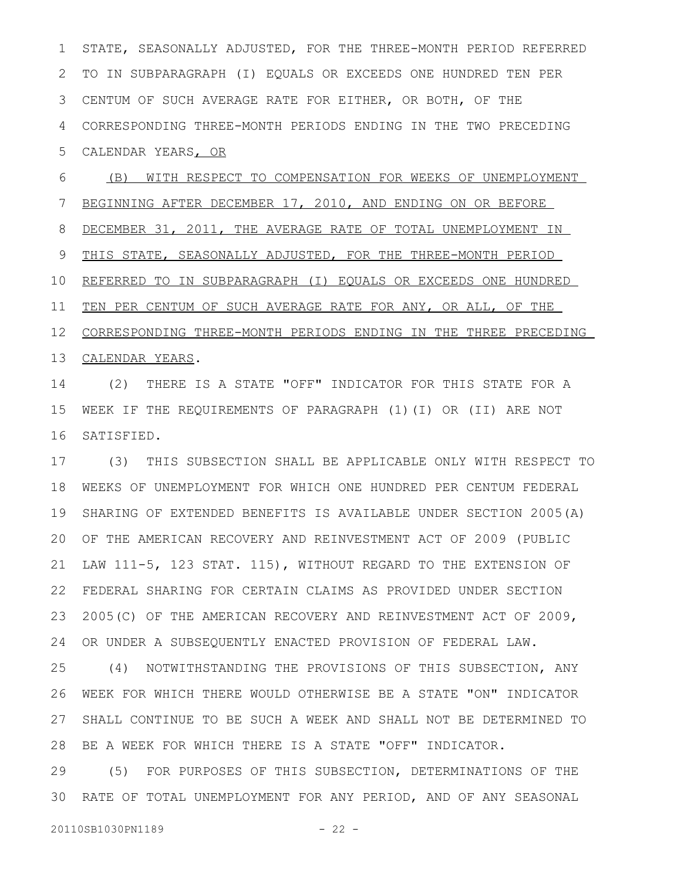STATE, SEASONALLY ADJUSTED, FOR THE THREE-MONTH PERIOD REFERRED TO IN SUBPARAGRAPH (I) EQUALS OR EXCEEDS ONE HUNDRED TEN PER CENTUM OF SUCH AVERAGE RATE FOR EITHER, OR BOTH, OF THE CORRESPONDING THREE-MONTH PERIODS ENDING IN THE TWO PRECEDING CALENDAR YEARS, OR 1 2 3 4 5

(B) WITH RESPECT TO COMPENSATION FOR WEEKS OF UNEMPLOYMENT BEGINNING AFTER DECEMBER 17, 2010, AND ENDING ON OR BEFORE DECEMBER 31, 2011, THE AVERAGE RATE OF TOTAL UNEMPLOYMENT IN THIS STATE, SEASONALLY ADJUSTED, FOR THE THREE-MONTH PERIOD REFERRED TO IN SUBPARAGRAPH (I) EQUALS OR EXCEEDS ONE HUNDRED TEN PER CENTUM OF SUCH AVERAGE RATE FOR ANY, OR ALL, OF THE CORRESPONDING THREE-MONTH PERIODS ENDING IN THE THREE PRECEDING 13 CALENDAR YEARS. 6 7 8 9 10 11 12

(2) THERE IS A STATE "OFF" INDICATOR FOR THIS STATE FOR A WEEK IF THE REQUIREMENTS OF PARAGRAPH (1)(I) OR (II) ARE NOT SATISFIED. 14 15 16

(3) THIS SUBSECTION SHALL BE APPLICABLE ONLY WITH RESPECT TO WEEKS OF UNEMPLOYMENT FOR WHICH ONE HUNDRED PER CENTUM FEDERAL SHARING OF EXTENDED BENEFITS IS AVAILABLE UNDER SECTION 2005(A) OF THE AMERICAN RECOVERY AND REINVESTMENT ACT OF 2009 (PUBLIC LAW 111-5, 123 STAT. 115), WITHOUT REGARD TO THE EXTENSION OF FEDERAL SHARING FOR CERTAIN CLAIMS AS PROVIDED UNDER SECTION 2005(C) OF THE AMERICAN RECOVERY AND REINVESTMENT ACT OF 2009, OR UNDER A SUBSEQUENTLY ENACTED PROVISION OF FEDERAL LAW. 17 18 19 20 21 22 23 24

(4) NOTWITHSTANDING THE PROVISIONS OF THIS SUBSECTION, ANY WEEK FOR WHICH THERE WOULD OTHERWISE BE A STATE "ON" INDICATOR SHALL CONTINUE TO BE SUCH A WEEK AND SHALL NOT BE DETERMINED TO BE A WEEK FOR WHICH THERE IS A STATE "OFF" INDICATOR. 25 26 27 28

(5) FOR PURPOSES OF THIS SUBSECTION, DETERMINATIONS OF THE RATE OF TOTAL UNEMPLOYMENT FOR ANY PERIOD, AND OF ANY SEASONAL 3029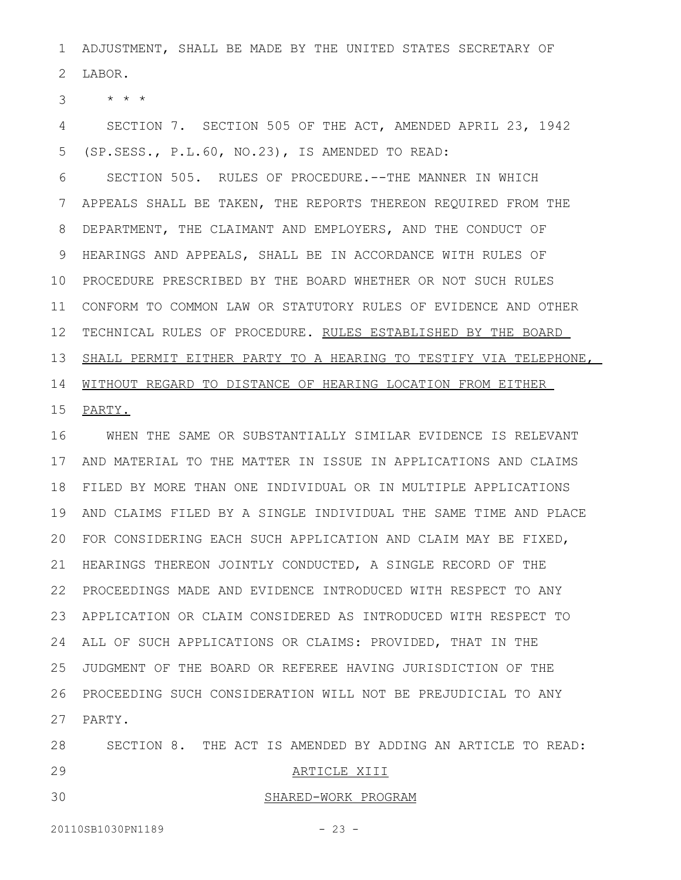ADJUSTMENT, SHALL BE MADE BY THE UNITED STATES SECRETARY OF LABOR. 1 2

\* \* \* 3

SECTION 7. SECTION 505 OF THE ACT, AMENDED APRIL 23, 1942 (SP.SESS., P.L.60, NO.23), IS AMENDED TO READ: 4 5

SECTION 505. RULES OF PROCEDURE.--THE MANNER IN WHICH APPEALS SHALL BE TAKEN, THE REPORTS THEREON REQUIRED FROM THE DEPARTMENT, THE CLAIMANT AND EMPLOYERS, AND THE CONDUCT OF HEARINGS AND APPEALS, SHALL BE IN ACCORDANCE WITH RULES OF PROCEDURE PRESCRIBED BY THE BOARD WHETHER OR NOT SUCH RULES 10 CONFORM TO COMMON LAW OR STATUTORY RULES OF EVIDENCE AND OTHER 11 12 TECHNICAL RULES OF PROCEDURE. RULES ESTABLISHED BY THE BOARD SHALL PERMIT EITHER PARTY TO A HEARING TO TESTIFY VIA TELEPHONE, 14 WITHOUT REGARD TO DISTANCE OF HEARING LOCATION FROM EITHER 6 7 8 9 13

PARTY. 15

WHEN THE SAME OR SUBSTANTIALLY SIMILAR EVIDENCE IS RELEVANT AND MATERIAL TO THE MATTER IN ISSUE IN APPLICATIONS AND CLAIMS 17 FILED BY MORE THAN ONE INDIVIDUAL OR IN MULTIPLE APPLICATIONS 18 AND CLAIMS FILED BY A SINGLE INDIVIDUAL THE SAME TIME AND PLACE 19 FOR CONSIDERING EACH SUCH APPLICATION AND CLAIM MAY BE FIXED, 20 21 HEARINGS THEREON JOINTLY CONDUCTED, A SINGLE RECORD OF THE PROCEEDINGS MADE AND EVIDENCE INTRODUCED WITH RESPECT TO ANY 22 APPLICATION OR CLAIM CONSIDERED AS INTRODUCED WITH RESPECT TO 23 ALL OF SUCH APPLICATIONS OR CLAIMS: PROVIDED, THAT IN THE 24 JUDGMENT OF THE BOARD OR REFEREE HAVING JURISDICTION OF THE 25 PROCEEDING SUCH CONSIDERATION WILL NOT BE PREJUDICIAL TO ANY 26 PARTY. 27 16

SECTION 8. THE ACT IS AMENDED BY ADDING AN ARTICLE TO READ: ARTICLE XIII SHARED-WORK PROGRAM 28 29 30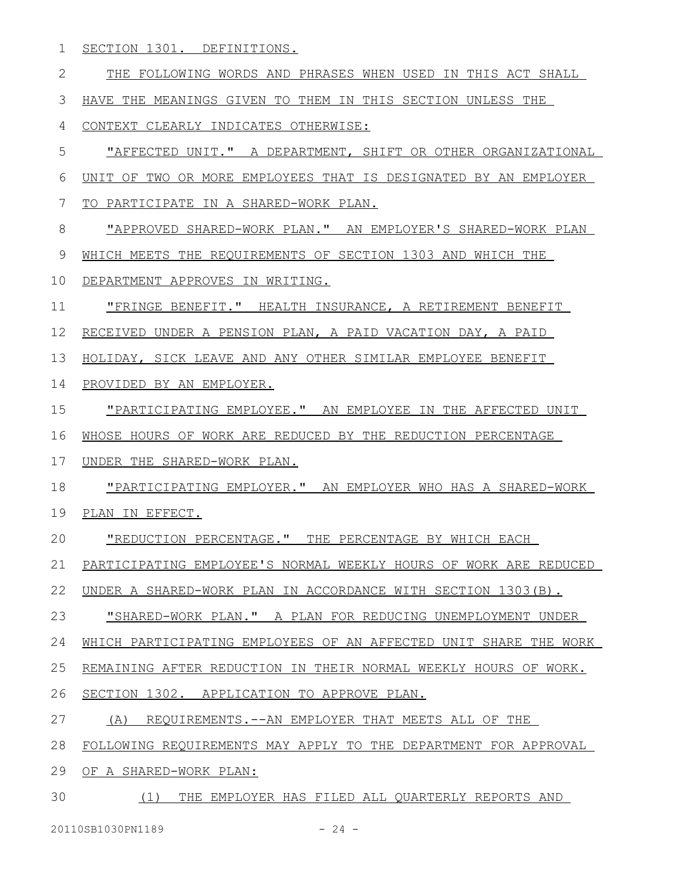SECTION 1301. DEFINITIONS. 1

THE FOLLOWING WORDS AND PHRASES WHEN USED IN THIS ACT SHALL HAVE THE MEANINGS GIVEN TO THEM IN THIS SECTION UNLESS THE CONTEXT CLEARLY INDICATES OTHERWISE: "AFFECTED UNIT." A DEPARTMENT, SHIFT OR OTHER ORGANIZATIONAL UNIT OF TWO OR MORE EMPLOYEES THAT IS DESIGNATED BY AN EMPLOYER TO PARTICIPATE IN A SHARED-WORK PLAN. "APPROVED SHARED-WORK PLAN. " AN EMPLOYER'S SHARED-WORK PLAN WHICH MEETS THE REQUIREMENTS OF SECTION 1303 AND WHICH THE DEPARTMENT APPROVES IN WRITING. "FRINGE BENEFIT." HEALTH INSURANCE, A RETIREMENT BENEFIT RECEIVED UNDER A PENSION PLAN, A PAID VACATION DAY, A PAID HOLIDAY, SICK LEAVE AND ANY OTHER SIMILAR EMPLOYEE BENEFIT PROVIDED BY AN EMPLOYER. "PARTICIPATING EMPLOYEE." AN EMPLOYEE IN THE AFFECTED UNIT WHOSE HOURS OF WORK ARE REDUCED BY THE REDUCTION PERCENTAGE UNDER THE SHARED-WORK PLAN. "PARTICIPATING EMPLOYER." AN EMPLOYER WHO HAS A SHARED-WORK PLAN IN EFFECT. "REDUCTION PERCENTAGE." THE PERCENTAGE BY WHICH EACH PARTICIPATING EMPLOYEE'S NORMAL WEEKLY HOURS OF WORK ARE REDUCED UNDER A SHARED-WORK PLAN IN ACCORDANCE WITH SECTION 1303(B). "SHARED-WORK PLAN." A PLAN FOR REDUCING UNEMPLOYMENT UNDER WHICH PARTICIPATING EMPLOYEES OF AN AFFECTED UNIT SHARE THE WORK REMAINING AFTER REDUCTION IN THEIR NORMAL WEEKLY HOURS OF WORK. SECTION 1302. APPLICATION TO APPROVE PLAN. (A) REQUIREMENTS.--AN EMPLOYER THAT MEETS ALL OF THE FOLLOWING REQUIREMENTS MAY APPLY TO THE DEPARTMENT FOR APPROVAL OF A SHARED-WORK PLAN: (1) THE EMPLOYER HAS FILED ALL QUARTERLY REPORTS AND 2 3 4 5 6 7 8 9 10 11 12 13 14 15 16 17 18 19 20 21 22 23 24 25 26 27 28 29 30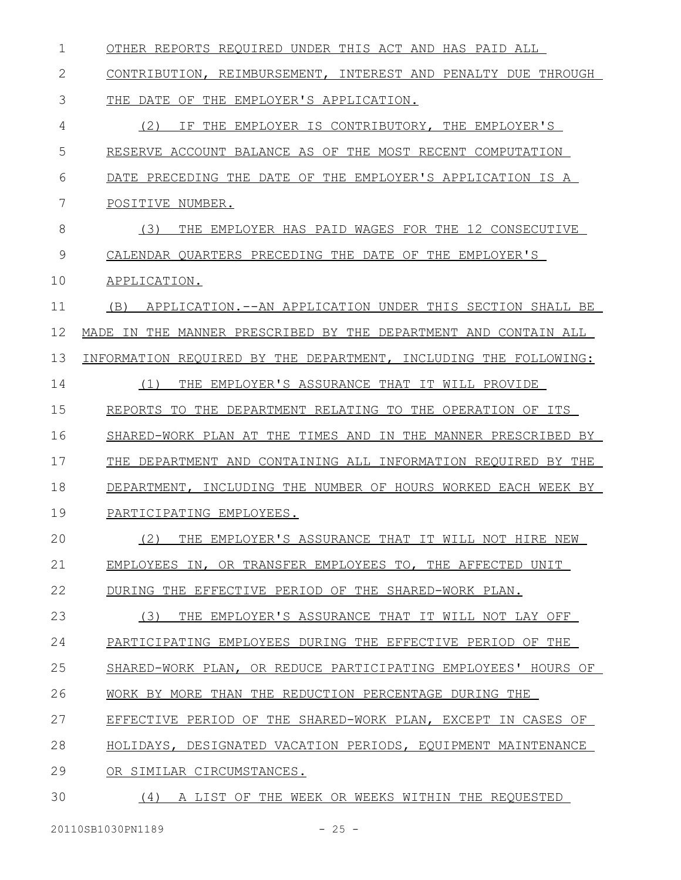| 1  | OTHER REPORTS REQUIRED UNDER THIS ACT AND HAS PAID ALL             |
|----|--------------------------------------------------------------------|
| 2  | CONTRIBUTION, REIMBURSEMENT, INTEREST AND PENALTY DUE THROUGH      |
| 3  | THE DATE OF THE EMPLOYER'S APPLICATION.                            |
| 4  | (2)<br>IF THE EMPLOYER IS CONTRIBUTORY, THE EMPLOYER'S             |
| 5  | RESERVE ACCOUNT BALANCE AS OF THE MOST RECENT COMPUTATION          |
| 6  | DATE PRECEDING THE DATE OF THE EMPLOYER'S APPLICATION IS A         |
| 7  | POSITIVE NUMBER.                                                   |
| 8  | (3)<br>THE EMPLOYER HAS PAID WAGES FOR THE 12 CONSECUTIVE          |
| 9  | CALENDAR QUARTERS PRECEDING THE DATE OF THE EMPLOYER'S             |
| 10 | APPLICATION.                                                       |
| 11 | APPLICATION.--AN APPLICATION UNDER THIS SECTION SHALL BE<br>(B)    |
| 12 | THE MANNER PRESCRIBED BY THE DEPARTMENT AND CONTAIN ALL<br>MADE IN |
| 13 | INFORMATION REQUIRED BY THE DEPARTMENT, INCLUDING THE FOLLOWING:   |
| 14 | (1)<br>THE EMPLOYER'S ASSURANCE THAT IT WILL PROVIDE               |
| 15 | REPORTS TO THE DEPARTMENT RELATING TO THE OPERATION OF ITS         |
| 16 | SHARED-WORK PLAN AT THE TIMES AND<br>IN THE MANNER PRESCRIBED BY   |
| 17 | THE DEPARTMENT AND CONTAINING ALL INFORMATION REOUIRED BY THE      |
| 18 | DEPARTMENT, INCLUDING THE NUMBER OF HOURS WORKED EACH WEEK BY      |
| 19 | PARTICIPATING EMPLOYEES.                                           |
| 20 | (2)<br>THE EMPLOYER'S ASSURANCE THAT IT WILL NOT HIRE NEW          |
| 21 | EMPLOYEES IN, OR TRANSFER EMPLOYEES TO, THE AFFECTED UNIT          |
| 22 | DURING THE EFFECTIVE PERIOD OF THE SHARED-WORK PLAN.               |
| 23 | (3)<br>THE EMPLOYER'S ASSURANCE THAT IT WILL NOT LAY OFF           |
| 24 | PARTICIPATING EMPLOYEES DURING THE EFFECTIVE PERIOD OF THE         |
| 25 | SHARED-WORK PLAN, OR REDUCE PARTICIPATING EMPLOYEES' HOURS OF      |
| 26 | WORK BY MORE THAN THE REDUCTION PERCENTAGE DURING THE              |
| 27 | EFFECTIVE PERIOD OF THE SHARED-WORK PLAN, EXCEPT IN CASES OF       |
| 28 | HOLIDAYS, DESIGNATED VACATION PERIODS, EQUIPMENT MAINTENANCE       |
| 29 | OR SIMILAR CIRCUMSTANCES.                                          |
| 30 | (4) A LIST OF THE WEEK OR WEEKS WITHIN THE REQUESTED               |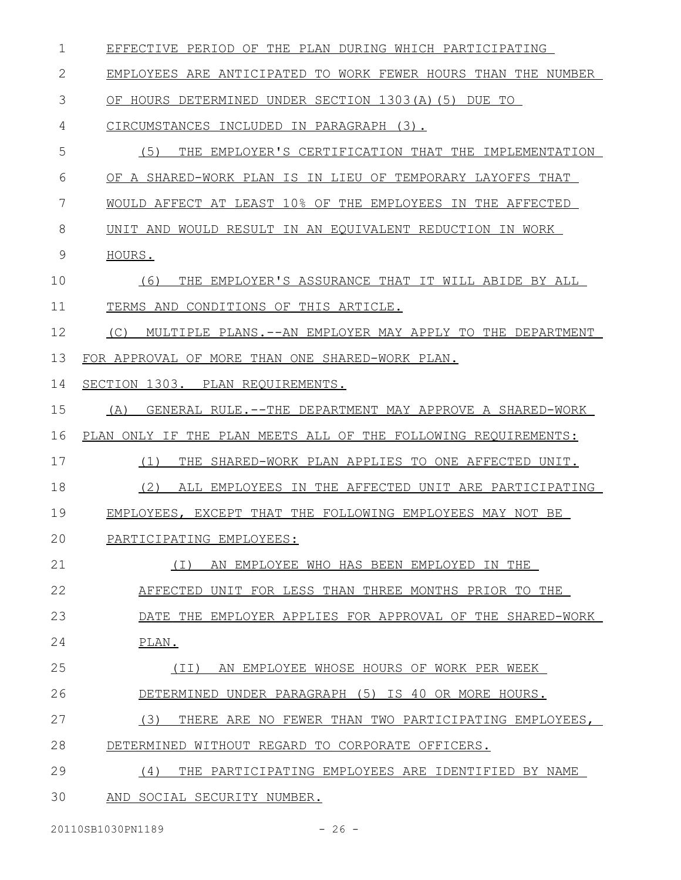| 1  | EFFECTIVE PERIOD OF THE PLAN DURING WHICH PARTICIPATING          |
|----|------------------------------------------------------------------|
| 2  | EMPLOYEES ARE ANTICIPATED TO WORK FEWER HOURS THAN THE NUMBER    |
| 3  | OF HOURS DETERMINED UNDER SECTION 1303(A)(5) DUE TO              |
| 4  | CIRCUMSTANCES INCLUDED IN PARAGRAPH (3).                         |
| 5  | (5)<br>THE EMPLOYER'S CERTIFICATION THAT THE IMPLEMENTATION      |
| 6  | OF A SHARED-WORK PLAN IS IN LIEU OF TEMPORARY LAYOFFS THAT       |
| 7  | WOULD AFFECT AT LEAST 10% OF THE EMPLOYEES IN THE AFFECTED       |
| 8  | UNIT AND WOULD RESULT IN AN EQUIVALENT REDUCTION IN WORK         |
| 9  | HOURS.                                                           |
| 10 | THE EMPLOYER'S ASSURANCE THAT IT WILL ABIDE BY ALL<br>(6)        |
| 11 | TERMS AND CONDITIONS OF THIS ARTICLE.                            |
| 12 | MULTIPLE PLANS. --AN EMPLOYER MAY APPLY TO THE DEPARTMENT<br>(C) |
| 13 | FOR APPROVAL OF MORE THAN ONE SHARED-WORK PLAN.                  |
| 14 | SECTION 1303. PLAN REQUIREMENTS.                                 |
| 15 | GENERAL RULE.--THE DEPARTMENT MAY APPROVE A SHARED-WORK<br>(A)   |
|    |                                                                  |
| 16 | PLAN ONLY IF THE PLAN MEETS ALL OF THE FOLLOWING REQUIREMENTS:   |
| 17 | THE SHARED-WORK PLAN APPLIES TO ONE AFFECTED UNIT.<br>(1)        |
| 18 | ALL EMPLOYEES IN THE AFFECTED UNIT ARE PARTICIPATING<br>(2)      |
| 19 | EMPLOYEES, EXCEPT THAT THE FOLLOWING EMPLOYEES MAY NOT BE        |
| 20 | PARTICIPATING EMPLOYEES:                                         |
| 21 | AN EMPLOYEE WHO HAS BEEN EMPLOYED IN THE<br>( I )                |
| 22 | AFFECTED UNIT FOR LESS THAN THREE MONTHS PRIOR TO THE            |
| 23 | DATE THE EMPLOYER APPLIES FOR APPROVAL OF THE SHARED-WORK        |
| 24 | PLAN.                                                            |
| 25 | AN EMPLOYEE WHOSE HOURS OF WORK PER WEEK<br>( I I )              |
| 26 | DETERMINED UNDER PARAGRAPH (5) IS 40 OR MORE HOURS.              |
| 27 | (3)<br>THERE ARE NO FEWER THAN TWO PARTICIPATING EMPLOYEES,      |
| 28 | DETERMINED WITHOUT REGARD TO CORPORATE OFFICERS.                 |
| 29 | (4)<br>THE PARTICIPATING EMPLOYEES ARE IDENTIFIED BY NAME        |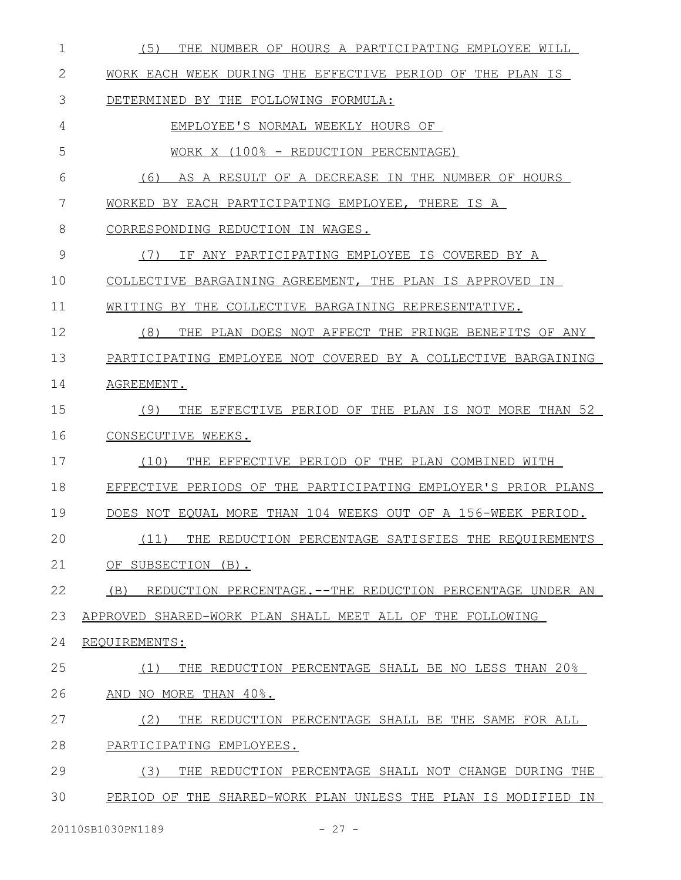| 1  | (5)<br>THE NUMBER OF HOURS A PARTICIPATING EMPLOYEE WILL        |
|----|-----------------------------------------------------------------|
| 2  | WORK EACH WEEK DURING THE EFFECTIVE PERIOD OF THE PLAN IS       |
| 3  | DETERMINED BY THE FOLLOWING FORMULA:                            |
| 4  | EMPLOYEE'S NORMAL WEEKLY HOURS OF                               |
| 5  | WORK X (100% - REDUCTION PERCENTAGE)                            |
| 6  | (6)<br>AS A RESULT OF A DECREASE IN THE NUMBER OF HOURS         |
| 7  | WORKED BY EACH PARTICIPATING EMPLOYEE, THERE IS A               |
| 8  | CORRESPONDING REDUCTION IN WAGES.                               |
| 9  | IF ANY PARTICIPATING EMPLOYEE IS COVERED BY A<br>(7)            |
| 10 | COLLECTIVE BARGAINING AGREEMENT, THE PLAN IS APPROVED IN        |
| 11 | WRITING BY THE COLLECTIVE BARGAINING REPRESENTATIVE.            |
| 12 | (8)<br>THE PLAN DOES NOT AFFECT THE FRINGE BENEFITS OF ANY      |
| 13 | PARTICIPATING EMPLOYEE NOT COVERED BY A COLLECTIVE BARGAINING   |
| 14 | AGREEMENT.                                                      |
| 15 | THE EFFECTIVE PERIOD OF THE PLAN IS NOT MORE THAN 52<br>(9)     |
| 16 | CONSECUTIVE WEEKS.                                              |
| 17 | (10)<br>THE EFFECTIVE PERIOD OF THE PLAN COMBINED WITH          |
| 18 | EFFECTIVE PERIODS OF THE PARTICIPATING EMPLOYER'S PRIOR PLANS   |
| 19 | DOES NOT EOUAL MORE THAN 104 WEEKS OUT OF A 156-WEEK PERIOD.    |
| 20 | (11) THE REDUCTION PERCENTAGE SATISFIES THE REQUIREMENTS        |
| 21 | OF SUBSECTION (B).                                              |
| 22 | (B)<br>REDUCTION PERCENTAGE.--THE REDUCTION PERCENTAGE UNDER AN |
| 23 | APPROVED SHARED-WORK PLAN SHALL MEET ALL OF THE FOLLOWING       |
| 24 | REQUIREMENTS:                                                   |
| 25 | THE REDUCTION PERCENTAGE SHALL BE NO LESS THAN 20%<br>(1)       |
| 26 | AND NO MORE THAN 40%.                                           |
| 27 | (2)<br>THE REDUCTION PERCENTAGE SHALL BE THE SAME FOR ALL       |
| 28 | PARTICIPATING EMPLOYEES.                                        |
| 29 | (3)<br>THE REDUCTION PERCENTAGE SHALL NOT CHANGE DURING THE     |
| 30 | PERIOD OF THE SHARED-WORK PLAN UNLESS THE PLAN IS MODIFIED IN   |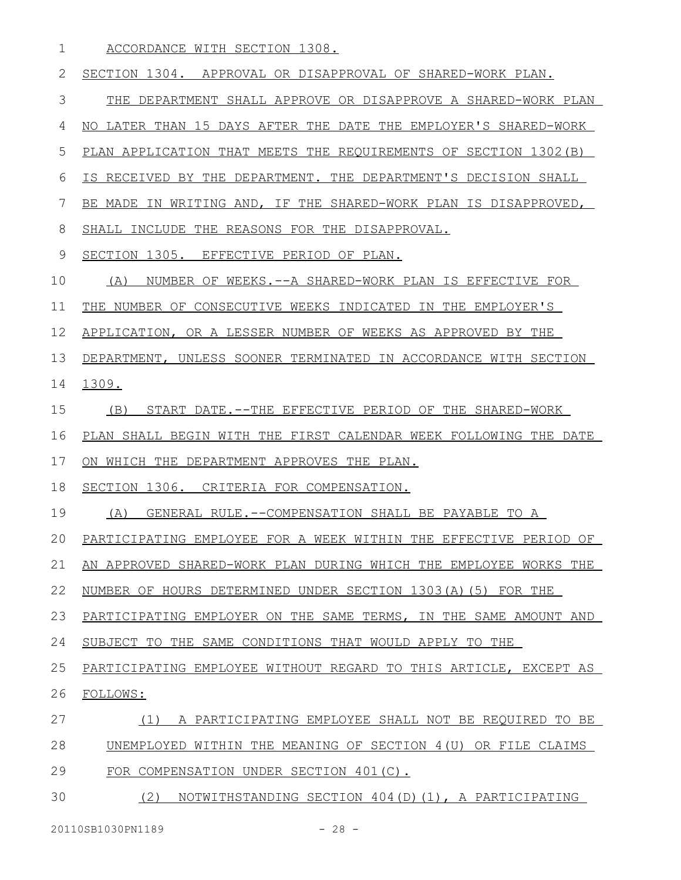ACCORDANCE WITH SECTION 1308. 1

SECTION 1304. APPROVAL OR DISAPPROVAL OF SHARED-WORK PLAN. THE DEPARTMENT SHALL APPROVE OR DISAPPROVE A SHARED-WORK PLAN NO LATER THAN 15 DAYS AFTER THE DATE THE EMPLOYER'S SHARED-WORK PLAN APPLICATION THAT MEETS THE REQUIREMENTS OF SECTION 1302(B) IS RECEIVED BY THE DEPARTMENT. THE DEPARTMENT'S DECISION SHALL BE MADE IN WRITING AND, IF THE SHARED-WORK PLAN IS DISAPPROVED, SHALL INCLUDE THE REASONS FOR THE DISAPPROVAL. SECTION 1305. EFFECTIVE PERIOD OF PLAN. (A) NUMBER OF WEEKS.--A SHARED-WORK PLAN IS EFFECTIVE FOR THE NUMBER OF CONSECUTIVE WEEKS INDICATED IN THE EMPLOYER'S APPLICATION, OR A LESSER NUMBER OF WEEKS AS APPROVED BY THE DEPARTMENT, UNLESS SOONER TERMINATED IN ACCORDANCE WITH SECTION 1309. (B) START DATE.--THE EFFECTIVE PERIOD OF THE SHARED-WORK PLAN SHALL BEGIN WITH THE FIRST CALENDAR WEEK FOLLOWING THE DATE ON WHICH THE DEPARTMENT APPROVES THE PLAN. SECTION 1306. CRITERIA FOR COMPENSATION. (A) GENERAL RULE.--COMPENSATION SHALL BE PAYABLE TO A PARTICIPATING EMPLOYEE FOR A WEEK WITHIN THE EFFECTIVE PERIOD OF AN APPROVED SHARED-WORK PLAN DURING WHICH THE EMPLOYEE WORKS THE NUMBER OF HOURS DETERMINED UNDER SECTION 1303(A)(5) FOR THE PARTICIPATING EMPLOYER ON THE SAME TERMS, IN THE SAME AMOUNT AND SUBJECT TO THE SAME CONDITIONS THAT WOULD APPLY TO THE PARTICIPATING EMPLOYEE WITHOUT REGARD TO THIS ARTICLE, EXCEPT AS FOLLOWS: (1) A PARTICIPATING EMPLOYEE SHALL NOT BE REQUIRED TO BE UNEMPLOYED WITHIN THE MEANING OF SECTION 4(U) OR FILE CLAIMS FOR COMPENSATION UNDER SECTION 401(C). 2 3 4 5 6 7 8 9 10 11 12 13 14 15 16 17 18 19 20 21 22 23 24 25 26 27 28 29

(2) NOTWITHSTANDING SECTION 404(D)(1), A PARTICIPATING 30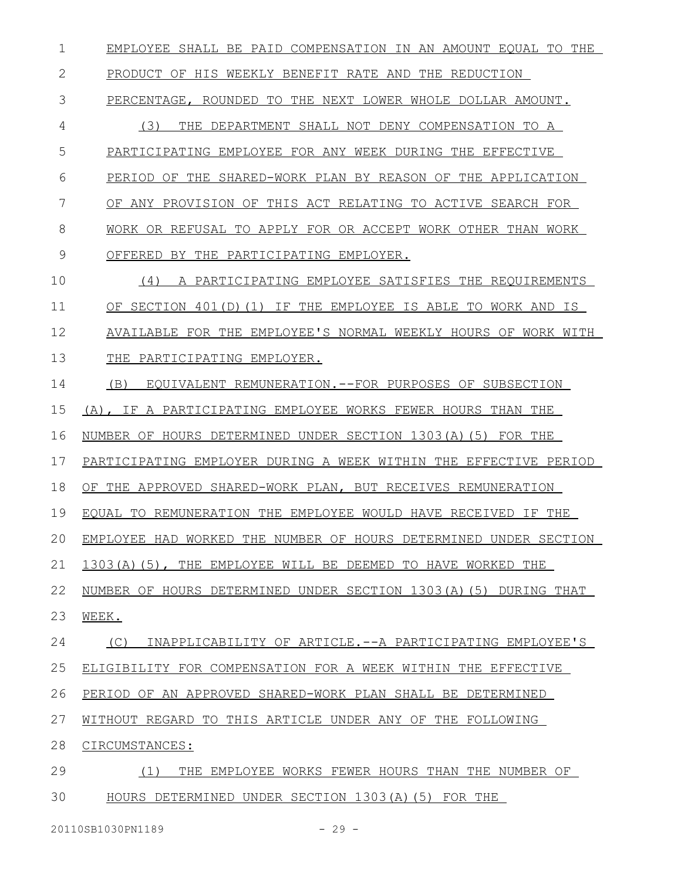EMPLOYEE SHALL BE PAID COMPENSATION IN AN AMOUNT EQUAL TO THE 1

 PRODUCT OF HIS WEEKLY BENEFIT RATE AND THE REDUCTION 2

PERCENTAGE, ROUNDED TO THE NEXT LOWER WHOLE DOLLAR AMOUNT. 3

(3) THE DEPARTMENT SHALL NOT DENY COMPENSATION TO A 4

PARTICIPATING EMPLOYEE FOR ANY WEEK DURING THE EFFECTIVE 5

PERIOD OF THE SHARED-WORK PLAN BY REASON OF THE APPLICATION 6

OF ANY PROVISION OF THIS ACT RELATING TO ACTIVE SEARCH FOR 7

WORK OR REFUSAL TO APPLY FOR OR ACCEPT WORK OTHER THAN WORK 8

OFFERED BY THE PARTICIPATING EMPLOYER. 9

(4) A PARTICIPATING EMPLOYEE SATISFIES THE REQUIREMENTS OF SECTION 401(D)(1) IF THE EMPLOYEE IS ABLE TO WORK AND IS AVAILABLE FOR THE EMPLOYEE'S NORMAL WEEKLY HOURS OF WORK WITH 10 11 12

THE PARTICIPATING EMPLOYER. 13

(B) EQUIVALENT REMUNERATION.--FOR PURPOSES OF SUBSECTION 14

(A), IF A PARTICIPATING EMPLOYEE WORKS FEWER HOURS THAN THE 15

NUMBER OF HOURS DETERMINED UNDER SECTION 1303(A)(5) FOR THE 16

PARTICIPATING EMPLOYER DURING A WEEK WITHIN THE EFFECTIVE PERIOD 17

OF THE APPROVED SHARED-WORK PLAN, BUT RECEIVES REMUNERATION 18

EQUAL TO REMUNERATION THE EMPLOYEE WOULD HAVE RECEIVED IF THE 19

EMPLOYEE HAD WORKED THE NUMBER OF HOURS DETERMINED UNDER SECTION 20

1303(A)(5), THE EMPLOYEE WILL BE DEEMED TO HAVE WORKED THE 21

NUMBER OF HOURS DETERMINED UNDER SECTION 1303(A)(5) DURING THAT 22

WEEK. 23

 (C) INAPPLICABILITY OF ARTICLE .--A PARTICIPATING EMPLOYEE'S 24

ELIGIBILITY FOR COMPENSATION FOR A WEEK WITHIN THE EFFECTIVE 25

PERIOD OF AN APPROVED SHARED-WORK PLAN SHALL BE DETERMINED 26

 WITHOUT REGARD TO THIS ARTICLE UNDER ANY OF THE FOLLOWING 27

 CIRCUMSTANCES: 28

 (1) THE EMPLOYEE WORKS FEWER HOURS THAN THE NUMBER OF HOURS DETERMINED UNDER SECTION 1303(A)(5) FOR THE 29 30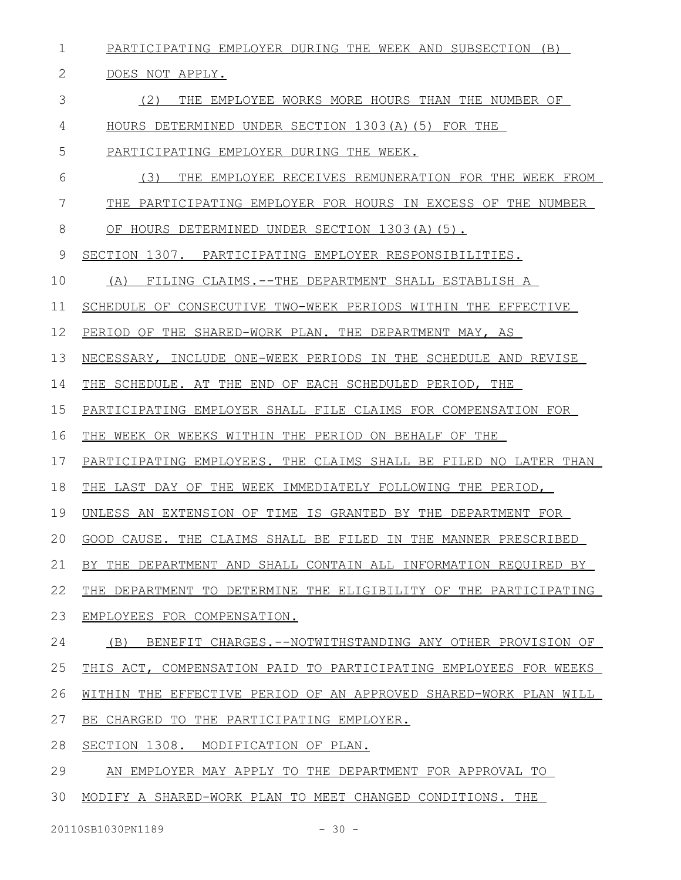PARTICIPATING EMPLOYER DURING THE WEEK AND SUBSECTION (B) DOES NOT APPLY. (2) THE EMPLOYEE WORKS MORE HOURS THAN THE NUMBER OF HOURS DETERMINED UNDER SECTION 1303(A)(5) FOR THE PARTICIPATING EMPLOYER DURING THE WEEK. (3) THE EMPLOYEE RECEIVES REMUNERATION FOR THE WEEK FROM THE PARTICIPATING EMPLOYER FOR HOURS IN EXCESS OF THE NUMBER OF HOURS DETERMINED UNDER SECTION 1303(A)(5). SECTION 1307. PARTICIPATING EMPLOYER RESPONSIBILITIES. (A) FILING CLAIMS.--THE DEPARTMENT SHALL ESTABLISH A SCHEDULE OF CONSECUTIVE TWO-WEEK PERIODS WITHIN THE EFFECTIVE PERIOD OF THE SHARED-WORK PLAN. THE DEPARTMENT MAY, AS NECESSARY, INCLUDE ONE-WEEK PERIODS IN THE SCHEDULE AND REVISE THE SCHEDULE. AT THE END OF EACH SCHEDULED PERIOD, THE PARTICIPATING EMPLOYER SHALL FILE CLAIMS FOR COMPENSATION FOR THE WEEK OR WEEKS WITHIN THE PERIOD ON BEHALF OF THE PARTICIPATING EMPLOYEES. THE CLAIMS SHALL BE FILED NO LATER THAN THE LAST DAY OF THE WEEK IMMEDIATELY FOLLOWING THE PERIOD, UNLESS AN EXTENSION OF TIME IS GRANTED BY THE DEPARTMENT FOR GOOD CAUSE. THE CLAIMS SHALL BE FILED IN THE MANNER PRESCRIBED BY THE DEPARTMENT AND SHALL CONTAIN ALL INFORMATION REQUIRED BY THE DEPARTMENT TO DETERMINE THE ELIGIBILITY OF THE PARTICIPATING EMPLOYEES FOR COMPENSATION. (B) BENEFIT CHARGES.--NOTWITHSTANDING ANY OTHER PROVISION OF THIS ACT, COMPENSATION PAID TO PARTICIPATING EMPLOYEES FOR WEEKS WITHIN THE EFFECTIVE PERIOD OF AN APPROVED SHARED-WORK PLAN WILL BE CHARGED TO THE PARTICIPATING EMPLOYER. SECTION 1308. MODIFICATION OF PLAN. AN EMPLOYER MAY APPLY TO THE DEPARTMENT FOR APPROVAL TO 1 2 3 4 5 6 7 8 9 10 11 12 13 14 15 16 17 18 19 20 21 22 23 24 25 26 27 28 29

MODIFY A SHARED-WORK PLAN TO MEET CHANGED CONDITIONS. THE 30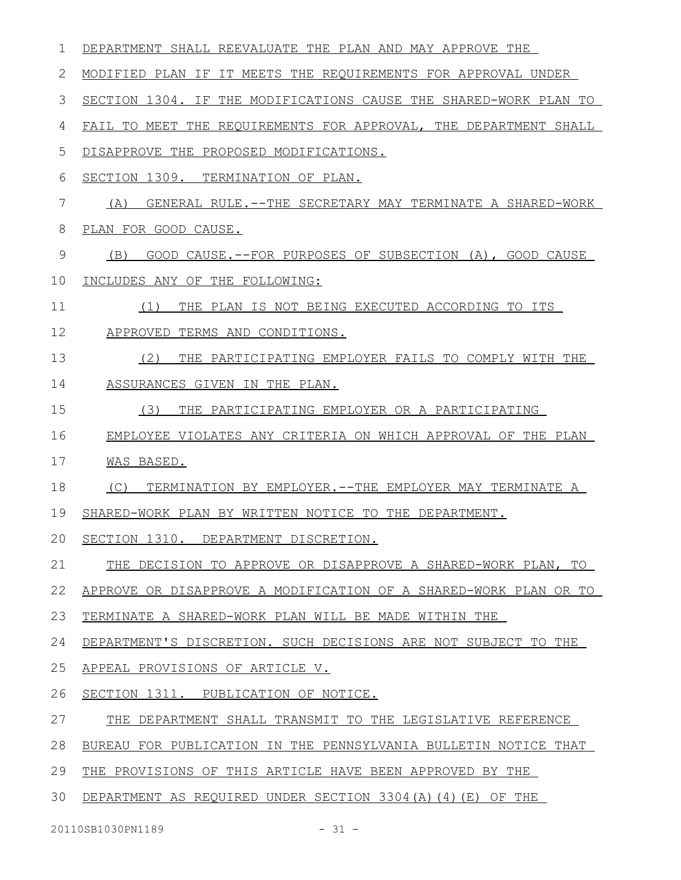| 1  | DEPARTMENT SHALL REEVALUATE THE PLAN AND MAY APPROVE THE         |
|----|------------------------------------------------------------------|
| 2  | MODIFIED PLAN IF IT MEETS THE REQUIREMENTS FOR APPROVAL UNDER    |
| 3  | SECTION 1304. IF THE MODIFICATIONS CAUSE THE SHARED-WORK PLAN TO |
| 4  | FAIL TO MEET THE REQUIREMENTS FOR APPROVAL, THE DEPARTMENT SHALL |
| 5  | DISAPPROVE THE PROPOSED MODIFICATIONS.                           |
| 6  | SECTION 1309. TERMINATION OF PLAN.                               |
| 7  | (A)<br>GENERAL RULE.--THE SECRETARY MAY TERMINATE A SHARED-WORK  |
| 8  | PLAN FOR GOOD CAUSE.                                             |
| 9  | GOOD CAUSE. -- FOR PURPOSES OF SUBSECTION (A), GOOD CAUSE<br>(B) |
| 10 | INCLUDES ANY OF THE FOLLOWING:                                   |
| 11 | (1)<br>THE PLAN IS NOT BEING EXECUTED ACCORDING TO ITS           |
| 12 | APPROVED TERMS AND CONDITIONS.                                   |
| 13 | (2)<br>THE PARTICIPATING EMPLOYER FAILS TO COMPLY WITH THE       |
| 14 | ASSURANCES GIVEN IN THE PLAN.                                    |
| 15 | (3)<br>THE PARTICIPATING EMPLOYER OR A PARTICIPATING             |
| 16 | EMPLOYEE VIOLATES ANY CRITERIA ON WHICH APPROVAL OF THE PLAN     |
| 17 | WAS BASED.                                                       |
| 18 | (C)<br>TERMINATION BY EMPLOYER.--THE EMPLOYER MAY TERMINATE A    |
| 19 | SHARED-WORK PLAN BY WRITTEN NOTICE TO THE DEPARTMENT.            |
| 20 | SECTION 1310. DEPARTMENT DISCRETION.                             |
| 21 | THE DECISION TO APPROVE OR DISAPPROVE A SHARED-WORK PLAN, TO     |
| 22 | APPROVE OR DISAPPROVE A MODIFICATION OF A SHARED-WORK PLAN OR TO |
| 23 | TERMINATE A SHARED-WORK PLAN WILL BE MADE WITHIN THE             |
| 24 | DEPARTMENT'S DISCRETION. SUCH DECISIONS ARE NOT SUBJECT TO THE   |
| 25 | APPEAL PROVISIONS OF ARTICLE V.                                  |
| 26 | SECTION 1311. PUBLICATION OF NOTICE.                             |
| 27 | THE DEPARTMENT SHALL TRANSMIT TO THE LEGISLATIVE REFERENCE       |
| 28 | BUREAU FOR PUBLICATION IN THE PENNSYLVANIA BULLETIN NOTICE THAT  |
| 29 | THE PROVISIONS OF THIS ARTICLE HAVE BEEN APPROVED BY THE         |
| 30 | DEPARTMENT AS REQUIRED UNDER SECTION 3304(A)(4)(E) OF THE        |
|    | 20110SB1030PN1189<br>$-31 -$                                     |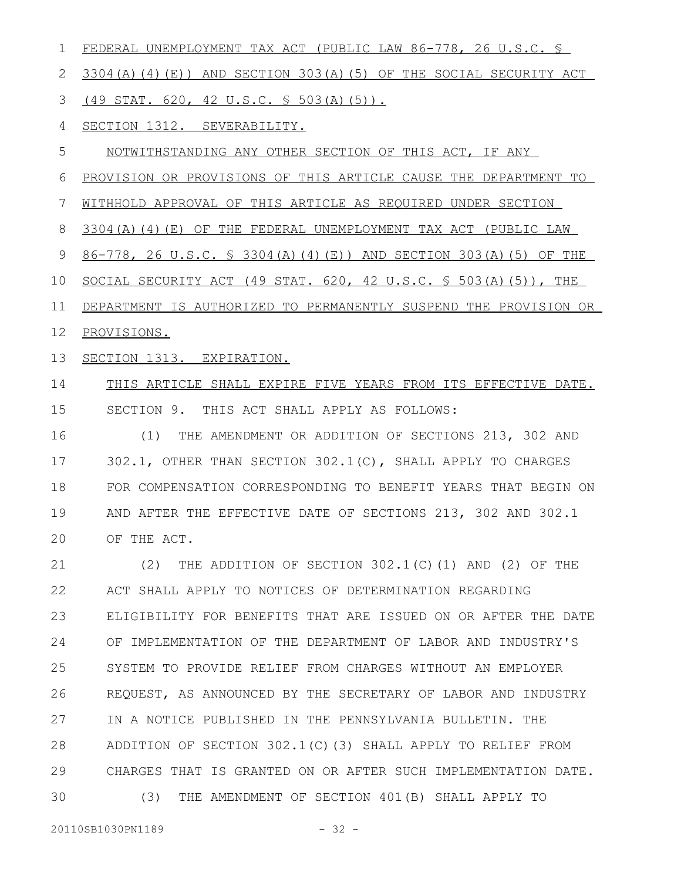| 1            | FEDERAL UNEMPLOYMENT TAX ACT (PUBLIC LAW 86-778, 26 U.S.C. §               |
|--------------|----------------------------------------------------------------------------|
| $\mathbf{2}$ | 3304(A)(4)(E)) AND SECTION 303(A)(5) OF THE SOCIAL SECURITY ACT            |
| 3            | $(49$ STAT. 620, 42 U.S.C. § 503(A)(5)).                                   |
| 4            | SECTION 1312. SEVERABILITY.                                                |
| 5            | NOTWITHSTANDING ANY OTHER SECTION OF THIS ACT, IF ANY                      |
| 6            | PROVISION OR PROVISIONS OF THIS ARTICLE CAUSE THE DEPARTMENT TO            |
| 7            | WITHHOLD APPROVAL OF THIS ARTICLE AS REQUIRED UNDER SECTION                |
| 8            | 3304(A)(4)(E) OF THE FEDERAL UNEMPLOYMENT TAX ACT (PUBLIC LAW              |
| 9            | 86-778, 26 U.S.C. § 3304(A)(4)(E)) AND SECTION 303(A)(5) OF THE            |
| 10           | SOCIAL SECURITY ACT (49 STAT. 620, 42 U.S.C. $\frac{1}{5}$ 503(A)(5)), THE |
| 11           | DEPARTMENT IS AUTHORIZED TO PERMANENTLY SUSPEND THE PROVISION OR           |
| 12           | PROVISIONS.                                                                |
| 13           | SECTION 1313. EXPIRATION.                                                  |
| 14           | THIS ARTICLE SHALL EXPIRE FIVE YEARS FROM ITS EFFECTIVE DATE.              |
| 15           | SECTION 9. THIS ACT SHALL APPLY AS FOLLOWS:                                |
| 16           | THE AMENDMENT OR ADDITION OF SECTIONS 213, 302 AND<br>(1)                  |
| 17           | 302.1, OTHER THAN SECTION 302.1(C), SHALL APPLY TO CHARGES                 |
| 18           | FOR COMPENSATION CORRESPONDING TO BENEFIT YEARS THAT BEGIN ON              |
| 19           | AND AFTER THE EFFECTIVE DATE OF SECTIONS 213, 302 AND 302.1                |
| 20           | OF THE ACT                                                                 |
| 21           | (2) THE ADDITION OF SECTION $302.1$ (C) (1) AND (2) OF THE                 |
| 22           | ACT SHALL APPLY TO NOTICES OF DETERMINATION REGARDING                      |
| 23           | ELIGIBILITY FOR BENEFITS THAT ARE ISSUED ON OR AFTER THE DATE              |
| 24           | OF IMPLEMENTATION OF THE DEPARTMENT OF LABOR AND INDUSTRY'S                |
| 25           | SYSTEM TO PROVIDE RELIEF FROM CHARGES WITHOUT AN EMPLOYER                  |
| 26           | REQUEST, AS ANNOUNCED BY THE SECRETARY OF LABOR AND INDUSTRY               |
| 27           | IN A NOTICE PUBLISHED IN THE PENNSYLVANIA BULLETIN. THE                    |
| 28           | ADDITION OF SECTION 302.1(C)(3) SHALL APPLY TO RELIEF FROM                 |
| 29           | CHARGES THAT IS GRANTED ON OR AFTER SUCH IMPLEMENTATION DATE.              |
| 30           | THE AMENDMENT OF SECTION 401(B) SHALL APPLY TO<br>(3)                      |